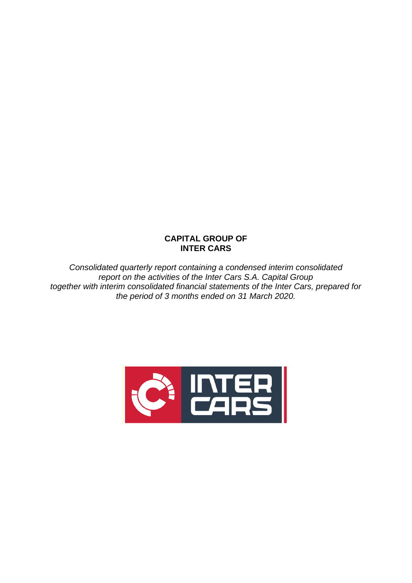# **CAPITAL GROUP OF INTER CARS**

*Consolidated quarterly report containing a condensed interim consolidated report on the activities of the Inter Cars S.A. Capital Group together with interim consolidated financial statements of the Inter Cars, prepared for the period of 3 months ended on 31 March 2020.*

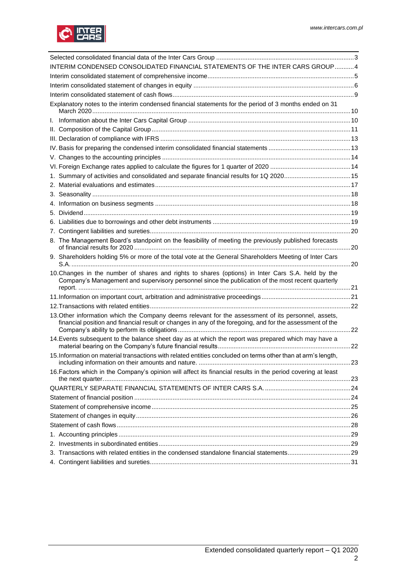

| INTERIM CONDENSED CONSOLIDATED FINANCIAL STATEMENTS OF THE INTER CARS GROUP4                                                                                                                                     |     |
|------------------------------------------------------------------------------------------------------------------------------------------------------------------------------------------------------------------|-----|
|                                                                                                                                                                                                                  |     |
|                                                                                                                                                                                                                  |     |
|                                                                                                                                                                                                                  |     |
| Explanatory notes to the interim condensed financial statements for the period of 3 months ended on 31                                                                                                           |     |
|                                                                                                                                                                                                                  |     |
|                                                                                                                                                                                                                  |     |
|                                                                                                                                                                                                                  |     |
|                                                                                                                                                                                                                  |     |
|                                                                                                                                                                                                                  |     |
|                                                                                                                                                                                                                  |     |
| 1. Summary of activities and consolidated and separate financial results for 1Q 202015                                                                                                                           |     |
|                                                                                                                                                                                                                  |     |
|                                                                                                                                                                                                                  |     |
|                                                                                                                                                                                                                  |     |
|                                                                                                                                                                                                                  |     |
|                                                                                                                                                                                                                  |     |
|                                                                                                                                                                                                                  |     |
| 8. The Management Board's standpoint on the feasibility of meeting the previously published forecasts                                                                                                            |     |
| 9. Shareholders holding 5% or more of the total vote at the General Shareholders Meeting of Inter Cars                                                                                                           |     |
| 10. Changes in the number of shares and rights to shares (options) in Inter Cars S.A. held by the<br>Company's Management and supervisory personnel since the publication of the most recent quarterly           |     |
|                                                                                                                                                                                                                  |     |
|                                                                                                                                                                                                                  |     |
| 13. Other information which the Company deems relevant for the assessment of its personnel, assets,<br>financial position and financial result or changes in any of the foregoing, and for the assessment of the |     |
| 14. Events subsequent to the balance sheet day as at which the report was prepared which may have a                                                                                                              |     |
| 15. Information on material transactions with related entities concluded on terms other than at arm's length,<br>including information on their amounts and nature.                                              | .23 |
| 16. Factors which in the Company's opinion will affect its financial results in the period covering at least                                                                                                     |     |
|                                                                                                                                                                                                                  |     |
|                                                                                                                                                                                                                  |     |
|                                                                                                                                                                                                                  |     |
|                                                                                                                                                                                                                  |     |
|                                                                                                                                                                                                                  |     |
|                                                                                                                                                                                                                  |     |
|                                                                                                                                                                                                                  |     |
| 3. Transactions with related entities in the condensed standalone financial statements29                                                                                                                         |     |
|                                                                                                                                                                                                                  |     |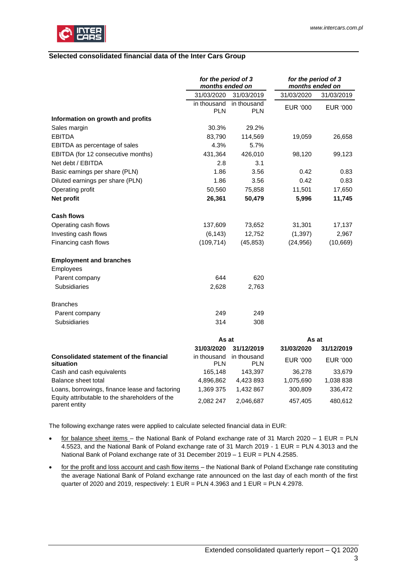

## <span id="page-2-0"></span>**Selected consolidated financial data of the Inter Cars Group**

|                                                             | for the period of 3<br>months ended on |                           | for the period of 3<br>months ended on |                 |
|-------------------------------------------------------------|----------------------------------------|---------------------------|----------------------------------------|-----------------|
|                                                             | 31/03/2020                             | 31/03/2019                | 31/03/2020                             | 31/03/2019      |
|                                                             | in thousand<br><b>PLN</b>              | in thousand<br><b>PLN</b> | EUR '000                               | EUR '000        |
| Information on growth and profits                           |                                        |                           |                                        |                 |
| Sales margin                                                | 30.3%                                  | 29.2%                     |                                        |                 |
| <b>EBITDA</b>                                               | 83,790                                 | 114,569                   | 19,059                                 | 26,658          |
| EBITDA as percentage of sales                               | 4.3%                                   | 5.7%                      |                                        |                 |
| EBITDA (for 12 consecutive months)                          | 431,364                                | 426,010                   | 98,120                                 | 99,123          |
| Net debt / EBITDA                                           | 2.8                                    | 3.1                       |                                        |                 |
| Basic earnings per share (PLN)                              | 1.86                                   | 3.56                      | 0.42                                   | 0.83            |
| Diluted earnings per share (PLN)                            | 1.86                                   | 3.56                      | 0.42                                   | 0.83            |
| Operating profit                                            | 50,560                                 | 75,858                    | 11,501                                 | 17,650          |
| Net profit                                                  | 26,361                                 | 50,479                    | 5,996                                  | 11,745          |
| <b>Cash flows</b>                                           |                                        |                           |                                        |                 |
| Operating cash flows                                        | 137,609                                | 73,652                    | 31,301                                 | 17,137          |
| Investing cash flows                                        | (6, 143)                               | 12,752                    | (1, 397)                               | 2,967           |
| Financing cash flows                                        | (109, 714)                             | (45, 853)                 | (24, 956)                              | (10, 669)       |
| <b>Employment and branches</b>                              |                                        |                           |                                        |                 |
| Employees                                                   |                                        |                           |                                        |                 |
| Parent company                                              | 644                                    | 620                       |                                        |                 |
| Subsidiaries                                                | 2,628                                  | 2,763                     |                                        |                 |
| <b>Branches</b>                                             |                                        |                           |                                        |                 |
| Parent company                                              | 249                                    | 249                       |                                        |                 |
| Subsidiaries                                                | 314                                    | 308                       |                                        |                 |
|                                                             | As at                                  |                           | As at                                  |                 |
|                                                             | 31/03/2020                             | 31/12/2019                | 31/03/2020                             | 31/12/2019      |
| <b>Consolidated statement of the financial</b><br>situation | in thousand<br><b>PLN</b>              | in thousand<br><b>PLN</b> | EUR '000                               | <b>EUR '000</b> |
| Cash and cash equivalents                                   | 165,148                                | 143,397                   | 36,278                                 | 33,679          |
| Balance sheet total                                         | 4,896,862                              | 4,423 893                 | 1,075,690                              | 1,038 838       |
| Loans, borrowings, finance lease and factoring              | 1,369 375                              | 1,432 867                 | 300,809                                | 336,472         |

The following exchange rates were applied to calculate selected financial data in EUR:

• for balance sheet items – the National Bank of Poland exchange rate of 31 March 2020 – 1 EUR = PLN 4.5523, and the National Bank of Poland exchange rate of 31 March 2019 - 1 EUR = PLN 4.3013 and the National Bank of Poland exchange rate of 31 December 2019 – 1 EUR = PLN 4.2585.

Equity attributable to the shareholders of the parent entity 2,082 247 2,046,687 457,405 480,612

• for the profit and loss account and cash flow items - the National Bank of Poland Exchange rate constituting the average National Bank of Poland exchange rate announced on the last day of each month of the first quarter of 2020 and 2019, respectively: 1 EUR = PLN 4.3963 and 1 EUR = PLN 4.2978.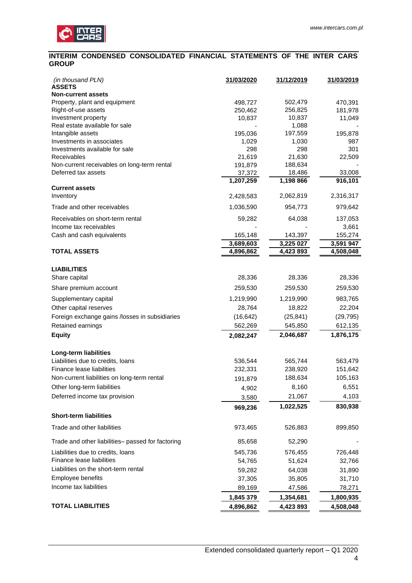

### <span id="page-3-0"></span>**INTERIM CONDENSED CONSOLIDATED FINANCIAL STATEMENTS OF THE INTER CARS GROUP**

| (in thousand PLN)<br><b>ASSETS</b>                  | 31/03/2020       | 31/12/2019       | <u>31/03/2019</u> |
|-----------------------------------------------------|------------------|------------------|-------------------|
| <b>Non-current assets</b>                           |                  |                  |                   |
| Property, plant and equipment                       | 498,727          | 502,479          | 470,391           |
| Right-of-use assets                                 | 250,462          | 256,825          | 181,978           |
| Investment property                                 | 10,837           | 10,837           | 11,049            |
| Real estate available for sale<br>Intangible assets |                  | 1,088<br>197,559 |                   |
| Investments in associates                           | 195,036<br>1,029 | 1,030            | 195,878<br>987    |
| Investments available for sale                      | 298              | 298              | 301               |
| Receivables                                         | 21,619           | 21,630           | 22,509            |
| Non-current receivables on long-term rental         | 191,879          | 188,634          |                   |
| Deferred tax assets                                 | 37,372           | 18,486           | 33,008            |
|                                                     | 1,207,259        | 1,198 866        | 916,101           |
| <b>Current assets</b><br>Inventory                  | 2,428,583        | 2,062,819        | 2,316,317         |
| Trade and other receivables                         | 1,036,590        | 954,773          | 979,642           |
| Receivables on short-term rental                    | 59,282           | 64,038           | 137,053           |
| Income tax receivables                              |                  |                  | 3,661             |
| Cash and cash equivalents                           | 165,148          | 143,397          | 155,274           |
| <b>TOTAL ASSETS</b>                                 | 3,689,603        | 3,225 027        | 3,591 947         |
|                                                     | 4,896,862        | 4,423 893        | 4,508,048         |
| <b>LIABILITIES</b>                                  |                  |                  |                   |
| Share capital                                       | 28,336           | 28,336           | 28,336            |
| Share premium account                               | 259,530          | 259,530          | 259,530           |
| Supplementary capital                               | 1,219,990        | 1,219,990        | 983,765           |
| Other capital reserves                              | 28,764           | 18,822           | 22,204            |
| Foreign exchange gains /losses in subsidiaries      | (16, 642)        | (25, 841)        | (29, 795)         |
| Retained earnings                                   | 562,269          | 545,850          | 612,135           |
| <b>Equity</b>                                       | 2,082,247        | 2,046,687        | 1,876,175         |
| Long-term liabilities                               |                  |                  |                   |
| Liabilities due to credits, loans                   | 536,544          | 565,744          | 563,479           |
| Finance lease liabilities                           | 232,331          | 238,920          | 151,642           |
| Non-current liabilities on long-term rental         | 191,879          | 188,634          | 105,163           |
| Other long-term liabilities                         | 4,902            | 8,160            | 6,551             |
| Deferred income tax provision                       | 3,580            | 21,067           | 4,103             |
|                                                     | 969,236          | 1,022,525        | 830,938           |
| <b>Short-term liabilities</b>                       |                  |                  |                   |
| Trade and other liabilities                         | 973,465          | 526,883          | 899,850           |
| Trade and other liabilities- passed for factoring   | 85,658           | 52,290           |                   |
| Liabilities due to credits, loans                   | 545,736          | 576,455          | 726,448           |
| Finance lease liabilities                           | 54,765           | 51,624           | 32,766            |
| Liabilities on the short-term rental                | 59,282           | 64,038           | 31,890            |
| Employee benefits                                   | 37,305           | 35,805           | 31,710            |
| Income tax liabilities                              | 89,169           | 47,586           | 78,271            |
|                                                     | 1,845 379        | 1,354,681        | 1,800,935         |
| <b>TOTAL LIABILITIES</b>                            | 4,896,862        | 4,423 893        | 4,508,048         |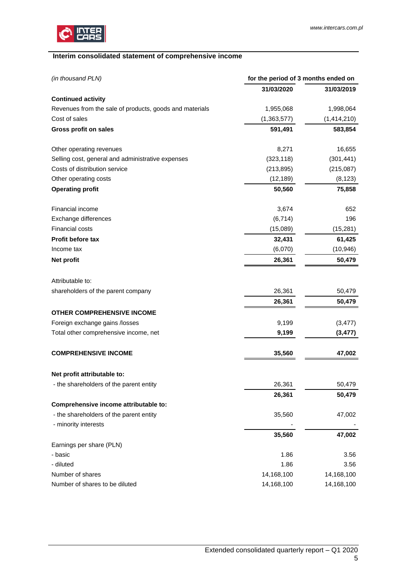

## <span id="page-4-0"></span> **Interim consolidated statement of comprehensive income**

| (in thousand PLN)                                       | for the period of 3 months ended on |             |  |  |
|---------------------------------------------------------|-------------------------------------|-------------|--|--|
|                                                         | 31/03/2020                          | 31/03/2019  |  |  |
| <b>Continued activity</b>                               |                                     |             |  |  |
| Revenues from the sale of products, goods and materials | 1,955,068                           | 1,998,064   |  |  |
| Cost of sales                                           | (1,363,577)                         | (1,414,210) |  |  |
| Gross profit on sales                                   | 591,491                             | 583,854     |  |  |
| Other operating revenues                                | 8,271                               | 16,655      |  |  |
| Selling cost, general and administrative expenses       | (323, 118)                          | (301, 441)  |  |  |
| Costs of distribution service                           | (213, 895)                          | (215,087)   |  |  |
| Other operating costs                                   | (12, 189)                           | (8, 123)    |  |  |
| <b>Operating profit</b>                                 | 50,560                              | 75,858      |  |  |
| Financial income                                        | 3,674                               | 652         |  |  |
| Exchange differences                                    | (6, 714)                            | 196         |  |  |
| <b>Financial costs</b>                                  | (15,089)                            | (15, 281)   |  |  |
| Profit before tax                                       | 32,431                              | 61,425      |  |  |
| Income tax                                              | (6,070)                             | (10, 946)   |  |  |
| Net profit                                              | 26,361                              | 50,479      |  |  |
| Attributable to:                                        |                                     |             |  |  |
| shareholders of the parent company                      | 26,361                              | 50,479      |  |  |
|                                                         | 26,361                              | 50,479      |  |  |
| <b>OTHER COMPREHENSIVE INCOME</b>                       |                                     |             |  |  |
| Foreign exchange gains /losses                          | 9,199                               | (3, 477)    |  |  |
| Total other comprehensive income, net                   | 9,199                               | (3, 477)    |  |  |
| <b>COMPREHENSIVE INCOME</b>                             | 35,560                              | 47,002      |  |  |
| Net profit attributable to:                             |                                     |             |  |  |
| - the shareholders of the parent entity                 | 26,361                              | 50,479      |  |  |
|                                                         | 26,361                              | 50,479      |  |  |
| Comprehensive income attributable to:                   |                                     |             |  |  |
| - the shareholders of the parent entity                 | 35,560                              | 47,002      |  |  |
| - minority interests                                    |                                     |             |  |  |
|                                                         | 35,560                              | 47,002      |  |  |
| Earnings per share (PLN)                                |                                     |             |  |  |
| - basic                                                 | 1.86                                | 3.56        |  |  |
| - diluted                                               | 1.86                                | 3.56        |  |  |
| Number of shares                                        | 14,168,100                          | 14,168,100  |  |  |
| Number of shares to be diluted                          | 14,168,100                          | 14,168,100  |  |  |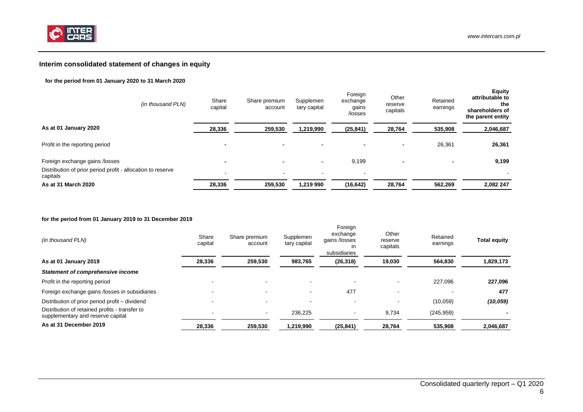

## **Interim consolidated statement of changes in equity**

#### **for the period from 01 January 2020 to 31 March 2020**

| (in thousand PLN)                                                       | Share<br>capital | Share premium<br>account | Supplemen<br>tary capital | Foreign<br>exchange<br>gains<br>/losses | Other<br>reserve<br>capitals | Retained<br>earnings | <b>Equity</b><br>attributable to<br>the<br>shareholders of<br>the parent entity |
|-------------------------------------------------------------------------|------------------|--------------------------|---------------------------|-----------------------------------------|------------------------------|----------------------|---------------------------------------------------------------------------------|
| As at 01 January 2020                                                   | 28,336           | 259,530                  | 1,219,990                 | (25, 841)                               | 28,764                       | 535,908              | 2,046,687                                                                       |
| Profit in the reporting period                                          |                  | ٠                        | $\overline{\phantom{a}}$  |                                         | ٠                            | 26,361               | 26,361                                                                          |
| Foreign exchange gains /losses                                          |                  | $\overline{\phantom{0}}$ | $\overline{\phantom{a}}$  | 9,199                                   | $\blacksquare$               |                      | 9,199                                                                           |
| Distribution of prior period profit - allocation to reserve<br>capitals |                  | $\blacksquare$           | $\overline{\phantom{a}}$  | $\,$ $\,$                               |                              |                      |                                                                                 |
| As at 31 March 2020                                                     | 28,336           | 259.530                  | 1,219 990                 | (16, 642)                               | 28,764                       | 562,269              | 2,082 247                                                                       |

#### **for the period from 01 January 2019 to 31 December 2019**

<span id="page-5-0"></span>

| (in thousand PLN)                                                                   | Share<br>capital | Share premium<br>account | Supplemen<br>tary capital | Foreign<br>exchange<br>gains /losses<br><i>in</i><br>subsidiaries | Other<br>reserve<br>capitals | Retained<br>earnings | <b>Total equity</b> |
|-------------------------------------------------------------------------------------|------------------|--------------------------|---------------------------|-------------------------------------------------------------------|------------------------------|----------------------|---------------------|
| As at 01 January 2019                                                               | 28,336           | 259,530                  | 983,765                   | (26, 318)                                                         | 19,030                       | 564.830              | 1,829,173           |
| <b>Statement of comprehensive income</b>                                            |                  |                          |                           |                                                                   |                              |                      |                     |
| Profit in the reporting period                                                      |                  |                          |                           |                                                                   |                              | 227.096              | 227,096             |
| Foreign exchange gains /losses in subsidiaries                                      |                  |                          |                           | 477                                                               |                              |                      | 477                 |
| Distribution of prior period profit - dividend                                      |                  |                          | -                         | $\blacksquare$                                                    |                              | (10,059)             | (10, 059)           |
| Distribution of retained profits - transfer to<br>supplementary and reserve capital |                  |                          | 236.225                   | ۰                                                                 | 9,734                        | (245, 959)           |                     |
| As at 31 December 2019                                                              | 28,336           | 259,530                  | 1,219,990                 | (25, 841)                                                         | 28,764                       | 535.908              | 2,046,687           |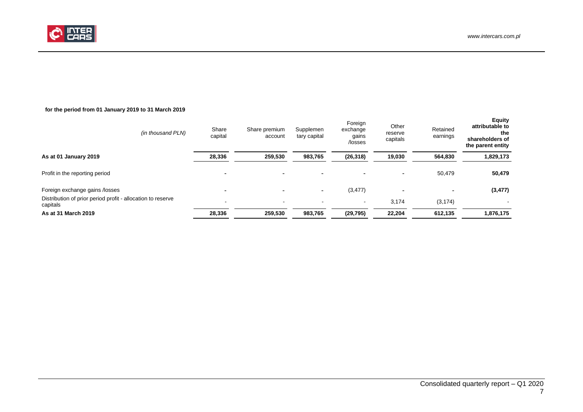

### **for the period from 01 January 2019 to 31 March 2019**

| (in thousand PLN)                                                       | Share<br>capital | Share premium<br>account | Supplemen<br>tary capital | Foreign<br>exchange<br>gains<br>/losses | Other<br>reserve<br>capitals | Retained<br>earnings | <b>Equity</b><br>attributable to<br>the<br>shareholders of<br>the parent entity |
|-------------------------------------------------------------------------|------------------|--------------------------|---------------------------|-----------------------------------------|------------------------------|----------------------|---------------------------------------------------------------------------------|
| As at 01 January 2019                                                   | 28,336           | 259,530                  | 983,765                   | (26, 318)                               | 19,030                       | 564,830              | 1,829,173                                                                       |
| Profit in the reporting period                                          |                  | -                        |                           | $\overline{\phantom{a}}$                | $\overline{\phantom{0}}$     | 50,479               | 50,479                                                                          |
| Foreign exchange gains /losses                                          |                  |                          |                           | (3, 477)                                | ٠                            | -                    | (3, 477)                                                                        |
| Distribution of prior period profit - allocation to reserve<br>capitals |                  | $\,$ $\,$                |                           | $\,$ $\,$                               | 3,174                        | (3, 174)             |                                                                                 |
| As at 31 March 2019                                                     | 28,336           | 259,530                  | 983,765                   | (29, 795)                               | 22,204                       | 612.135              | 1,876,175                                                                       |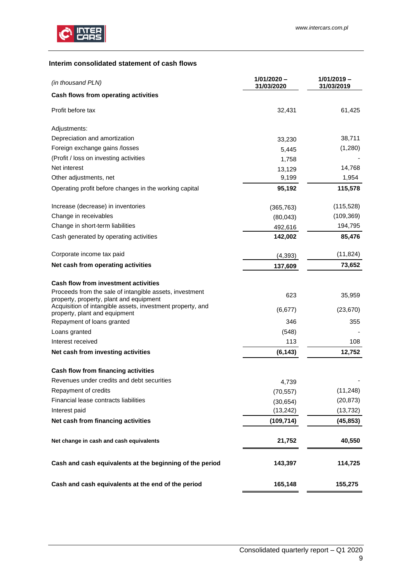

## <span id="page-8-0"></span>**Interim consolidated statement of cash flows**

| (in thousand PLN)                                                                                  | $1/01/2020 -$<br>31/03/2020 | $1/01/2019 -$<br>31/03/2019 |
|----------------------------------------------------------------------------------------------------|-----------------------------|-----------------------------|
| Cash flows from operating activities                                                               |                             |                             |
| Profit before tax                                                                                  | 32,431                      | 61,425                      |
| Adjustments:                                                                                       |                             |                             |
| Depreciation and amortization                                                                      | 33,230                      | 38,711                      |
| Foreign exchange gains /losses                                                                     | 5,445                       | (1,280)                     |
| (Profit / loss on investing activities                                                             | 1,758                       |                             |
| Net interest                                                                                       | 13,129                      | 14,768                      |
| Other adjustments, net                                                                             | 9,199                       | 1,954                       |
| Operating profit before changes in the working capital                                             | 95,192                      | 115,578                     |
| Increase (decrease) in inventories                                                                 | (365, 763)                  | (115, 528)                  |
| Change in receivables                                                                              | (80,043)                    | (109, 369)                  |
| Change in short-term liabilities                                                                   | 492,616                     | 194,795                     |
| Cash generated by operating activities                                                             | 142,002                     | 85,476                      |
| Corporate income tax paid                                                                          | (4, 393)                    | (11, 824)                   |
| Net cash from operating activities                                                                 | 137,609                     | 73,652                      |
| Cash flow from investment activities                                                               |                             |                             |
| Proceeds from the sale of intangible assets, investment<br>property, property, plant and equipment | 623                         | 35,959                      |
| Acquisition of intangible assets, investment property, and<br>property, plant and equipment        | (6, 677)                    | (23, 670)                   |
| Repayment of loans granted                                                                         | 346                         | 355                         |
| Loans granted                                                                                      | (548)                       |                             |
| Interest received                                                                                  | 113                         | 108                         |
| Net cash from investing activities                                                                 | (6, 143)                    | 12,752                      |
| Cash flow from financing activities                                                                |                             |                             |
| Revenues under credits and debt securities                                                         | 4,739                       |                             |
| Repayment of credits                                                                               | (70, 557)                   | (11, 248)                   |
| Financial lease contracts liabilities                                                              | (30, 654)                   | (20, 873)                   |
| Interest paid                                                                                      | (13, 242)                   | (13, 732)                   |
| Net cash from financing activities                                                                 | (109, 714)                  | (45, 853)                   |
| Net change in cash and cash equivalents                                                            | 21,752                      | 40,550                      |
| Cash and cash equivalents at the beginning of the period                                           | 143,397                     | 114,725                     |
| Cash and cash equivalents at the end of the period                                                 | 165,148                     | 155,275                     |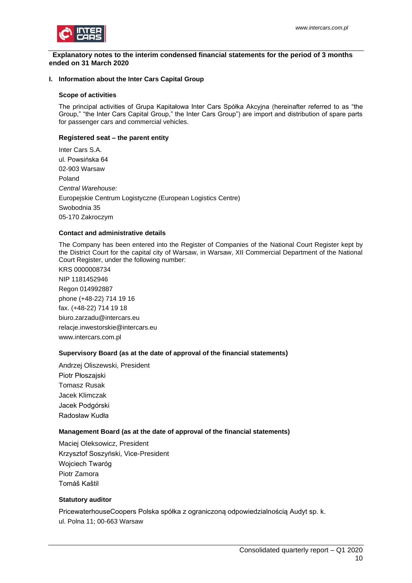

#### <span id="page-9-0"></span> **Explanatory notes to the interim condensed financial statements for the period of 3 months ended on 31 March 2020**

### <span id="page-9-1"></span>**I. Information about the Inter Cars Capital Group**

#### **Scope of activities**

The principal activities of Grupa Kapitałowa Inter Cars Spółka Akcyjna (hereinafter referred to as "the Group," "the Inter Cars Capital Group," the Inter Cars Group") are import and distribution of spare parts for passenger cars and commercial vehicles.

### **Registered seat – the parent entity**

Inter Cars S.A. ul. Powsińska 64 02-903 Warsaw Poland *Central Warehouse:* Europejskie Centrum Logistyczne (European Logistics Centre) Swobodnia 35 05-170 Zakroczym

### **Contact and administrative details**

The Company has been entered into the Register of Companies of the National Court Register kept by the District Court for the capital city of Warsaw, in Warsaw, XII Commercial Department of the National Court Register, under the following number:

KRS 0000008734 NIP 1181452946 Regon 014992887 phone (+48-22) 714 19 16 fax. (+48-22) 714 19 18 biuro.zarzadu@intercars.eu relacje.inwestorskie@intercars.eu www.intercars.com.pl

### **Supervisory Board (as at the date of approval of the financial statements)**

Andrzej Oliszewski, President Piotr Płoszajski Tomasz Rusak Jacek Klimczak Jacek Podgórski Radosław Kudła

### **Management Board (as at the date of approval of the financial statements)**

Maciej Oleksowicz, President Krzysztof Soszyński, Vice-President Wojciech Twaróg Piotr Zamora Tomáš Kaštil

#### **Statutory auditor**

PricewaterhouseCoopers Polska spółka z ograniczoną odpowiedzialnością Audyt sp. k. ul. Polna 11; 00-663 Warsaw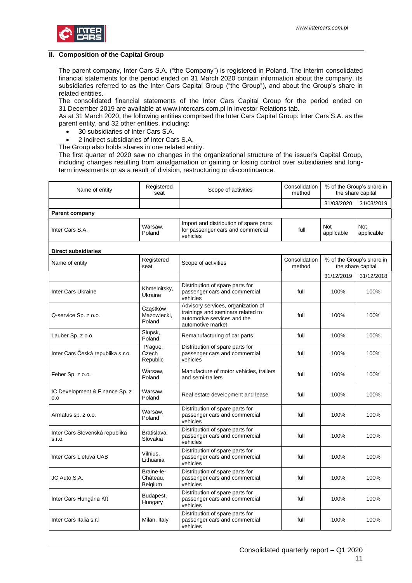

#### <span id="page-10-0"></span>**II. Composition of the Capital Group**

The parent company, Inter Cars S.A. ("the Company") is registered in Poland. The interim consolidated financial statements for the period ended on 31 March 2020 contain information about the company, its subsidiaries referred to as the Inter Cars Capital Group ("the Group"), and about the Group's share in related entities.

The consolidated financial statements of the Inter Cars Capital Group for the period ended on 31 December 2019 are available at www.intercars.com.pl in Investor Relations tab.

As at 31 March 2020, the following entities comprised the Inter Cars Capital Group: Inter Cars S.A. as the parent entity, and 32 other entities, including:

- 30 subsidiaries of Inter Cars S.A.
- 2 indirect subsidiaries of Inter Cars S.A.
- The Group also holds shares in one related entity.

The first quarter of 2020 saw no changes in the organizational structure of the issuer's Capital Group, including changes resulting from amalgamation or gaining or losing control over subsidiaries and longterm investments or as a result of division, restructuring or discontinuance.

| Name of entity                           | Registered<br>seat                | Scope of activities                                                                                                         | Consolidation<br>method | % of the Group's share in<br>the share capital |                                                |
|------------------------------------------|-----------------------------------|-----------------------------------------------------------------------------------------------------------------------------|-------------------------|------------------------------------------------|------------------------------------------------|
|                                          |                                   |                                                                                                                             |                         | 31/03/2020                                     | 31/03/2019                                     |
| <b>Parent company</b>                    |                                   |                                                                                                                             |                         |                                                |                                                |
| Inter Cars S.A.                          | Warsaw,<br>Poland                 | Import and distribution of spare parts<br>for passenger cars and commercial<br>vehicles                                     | full                    | <b>Not</b><br>applicable                       | Not<br>applicable                              |
| <b>Direct subsidiaries</b>               |                                   |                                                                                                                             |                         |                                                |                                                |
| Name of entity                           | Registered<br>seat                | Scope of activities                                                                                                         | Consolidation<br>method |                                                | % of the Group's share in<br>the share capital |
|                                          |                                   |                                                                                                                             |                         | 31/12/2019                                     | 31/12/2018                                     |
| Inter Cars Ukraine                       | Khmelnitsky,<br>Ukraine           | Distribution of spare parts for<br>passenger cars and commercial<br>vehicles                                                | full                    | 100%                                           | 100%                                           |
| Q-service Sp. z o.o.                     | Cząstków<br>Mazowiecki,<br>Poland | Advisory services, organization of<br>trainings and seminars related to<br>automotive services and the<br>automotive market | full                    | 100%                                           | 100%                                           |
| Lauber Sp. z o.o.                        | Słupsk,<br>Poland                 | Remanufacturing of car parts                                                                                                | full                    | 100%                                           | 100%                                           |
| Inter Cars Česká republika s.r.o.        | Prague,<br>Czech<br>Republic      | Distribution of spare parts for<br>passenger cars and commercial<br>vehicles                                                | full                    | 100%                                           | 100%                                           |
| Feber Sp. z o.o.                         | Warsaw,<br>Poland                 | Manufacture of motor vehicles, trailers<br>and semi-trailers                                                                | full                    | 100%                                           | 100%                                           |
| IC Development & Finance Sp. z<br>0.0    | Warsaw,<br>Poland                 | Real estate development and lease                                                                                           | full                    | 100%                                           | 100%                                           |
| Armatus sp. z o.o.                       | Warsaw,<br>Poland                 | Distribution of spare parts for<br>passenger cars and commercial<br>vehicles                                                | full                    | 100%                                           | 100%                                           |
| Inter Cars Slovenská republika<br>s.r.o. | Bratislava,<br>Slovakia           | Distribution of spare parts for<br>passenger cars and commercial<br>vehicles                                                | full                    | 100%                                           | 100%                                           |
| Inter Cars Lietuva UAB                   | Vilnius,<br>Lithuania             | Distribution of spare parts for<br>passenger cars and commercial<br>vehicles                                                | full                    | 100%                                           | 100%                                           |
| JC Auto S.A.                             | Braine-le-<br>Château,<br>Belgium | Distribution of spare parts for<br>passenger cars and commercial<br>vehicles                                                | full                    | 100%                                           | 100%                                           |
| Inter Cars Hungária Kft                  | Budapest,<br>Hungary              | Distribution of spare parts for<br>passenger cars and commercial<br>vehicles                                                | full                    | 100%                                           | 100%                                           |
| Inter Cars Italia s.r.I                  | Milan, Italy                      | Distribution of spare parts for<br>passenger cars and commercial<br>vehicles                                                | full                    | 100%                                           | 100%                                           |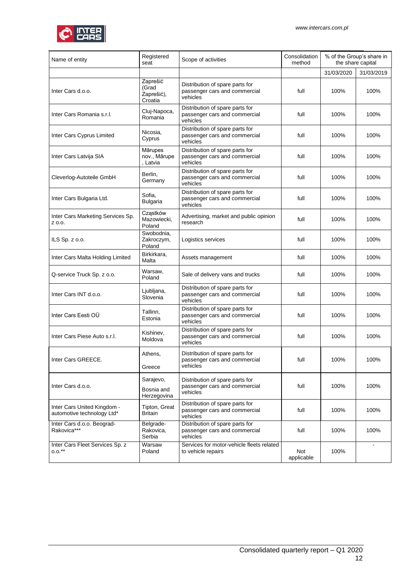

| Name of entity                                            | Registered<br>seat                         | Scope of activities                                                          | Consolidation<br>method | % of the Group's share in<br>the share capital |                |
|-----------------------------------------------------------|--------------------------------------------|------------------------------------------------------------------------------|-------------------------|------------------------------------------------|----------------|
|                                                           |                                            |                                                                              |                         | 31/03/2020                                     | 31/03/2019     |
| Inter Cars d.o.o.                                         | Zaprešić<br>(Grad<br>Zaprešić),<br>Croatia | Distribution of spare parts for<br>passenger cars and commercial<br>vehicles | full                    | 100%                                           | 100%           |
| Inter Cars Romania s.r.l.                                 | Cluj-Napoca,<br>Romania                    | Distribution of spare parts for<br>passenger cars and commercial<br>vehicles | full                    | 100%                                           | 100%           |
| Inter Cars Cyprus Limited                                 | Nicosia,<br>Cyprus                         | Distribution of spare parts for<br>passenger cars and commercial<br>vehicles | full                    | 100%                                           | 100%           |
| Inter Cars Latvija SIA                                    | Mārupes<br>nov., Mārupe<br>, Latvia        | Distribution of spare parts for<br>passenger cars and commercial<br>vehicles | full                    | 100%                                           | 100%           |
| Cleverlog-Autoteile GmbH                                  | Berlin,<br>Germany                         | Distribution of spare parts for<br>passenger cars and commercial<br>vehicles | full                    | 100%                                           | 100%           |
| Inter Cars Bulgaria Ltd.                                  | Sofia,<br><b>Bulgaria</b>                  | Distribution of spare parts for<br>passenger cars and commercial<br>vehicles | full                    | 100%                                           | 100%           |
| Inter Cars Marketing Services Sp.<br>Z 0.0.               | Cząstków<br>Mazowiecki,<br>Poland          | Advertising, market and public opinion<br>research                           | full                    | 100%                                           | 100%           |
| ILS $Sp. z 0.0$ .                                         | Swobodnia,<br>Zakroczym,<br>Poland         | Logistics services                                                           | full                    | 100%                                           | 100%           |
| Inter Cars Malta Holding Limited                          | Birkirkara,<br>Malta                       | Assets management                                                            | full                    | 100%                                           | 100%           |
| Q-service Truck Sp. z o.o.                                | Warsaw,<br>Poland                          | Sale of delivery vans and trucks                                             | full                    | 100%                                           | 100%           |
| Inter Cars INT d.o.o.                                     | Ljubljana,<br>Slovenia                     | Distribution of spare parts for<br>passenger cars and commercial<br>vehicles | full                    | 100%                                           | 100%           |
| Inter Cars Eesti OÜ                                       | Tallinn,<br>Estonia                        | Distribution of spare parts for<br>passenger cars and commercial<br>vehicles | full                    | 100%                                           | 100%           |
| Inter Cars Piese Auto s.r.l.                              | Kishinev,<br>Moldova                       | Distribution of spare parts for<br>passenger cars and commercial<br>vehicles | full                    | 100%                                           | 100%           |
| Inter Cars GREECE                                         | Athens,<br>Greece                          | Distribution of spare parts for<br>passenger cars and commercial<br>vehicles | full                    | 100%                                           | 100%           |
| Inter Cars d.o.o.                                         | Sarajevo,<br>Bosnia and<br>Herzegovina     | Distribution of spare parts for<br>passenger cars and commercial<br>vehicles | full                    | 100%                                           | 100%           |
| Inter Cars United Kingdom -<br>automotive technology Ltd* | Tipton, Great<br>Britain                   | Distribution of spare parts for<br>passenger cars and commercial<br>vehicles | full                    | 100%                                           | 100%           |
| Inter Cars d.o.o. Beograd-<br>Rakovica***                 | Belgrade-<br>Rakovica,<br>Serbia           | Distribution of spare parts for<br>passenger cars and commercial<br>vehicles | full                    | 100%                                           | 100%           |
| Inter Cars Fleet Services Sp. z<br>$0.0.^{**}$            | Warsaw<br>Poland                           | Services for motor-vehicle fleets related<br>to vehicle repairs              | Not<br>applicable       | 100%                                           | $\blacksquare$ |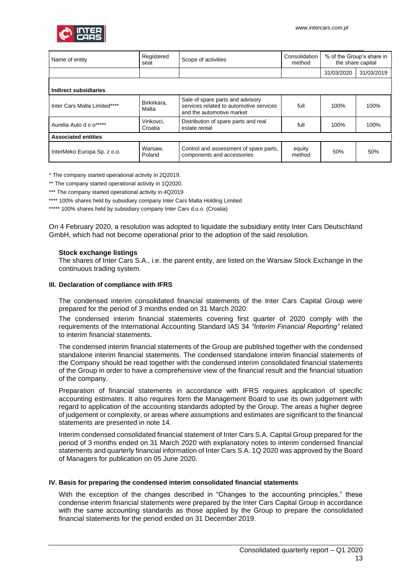

| Name of entity               | Registered<br>seat   | Scope of activities                                                                                      | Consolidation<br>method |            | % of the Group's share in<br>the share capital |  |  |
|------------------------------|----------------------|----------------------------------------------------------------------------------------------------------|-------------------------|------------|------------------------------------------------|--|--|
|                              |                      |                                                                                                          |                         | 31/03/2020 | 31/03/2019                                     |  |  |
| Indirect subsidiaries        |                      |                                                                                                          |                         |            |                                                |  |  |
| Inter Cars Malta Limited**** | Birkirkara.<br>Malta | Sale of spare parts and advisory<br>services related to automotive services<br>and the automotive market | full                    | 100%       | 100%                                           |  |  |
| Aurelia Auto d o o*****      | Vinkovci,<br>Croatia | Distribution of spare parts and real<br>estate rental                                                    | full                    | 100%       | 100%                                           |  |  |
| <b>Associated entities</b>   |                      |                                                                                                          |                         |            |                                                |  |  |
| InterMeko Europa Sp. z o.o.  | Warsaw.<br>Poland    | Control and assessment of spare parts,<br>components and accessories                                     | equity<br>method        | 50%        | 50%                                            |  |  |

\* The company started operational activity in 2Q2019.

\*\* The company started operational activity in 1Q2020.

\*\*\* The company started operational activity in 4Q2019

\*\*\*\* 100% shares held by subsidiary company Inter Cars Malta Holding Limited

\*\*\*\*\* 100% shares held by subsidiary company Inter Cars d.o.o. (Croatia)

On 4 February 2020, a resolution was adopted to liquidate the subsidiary entity Inter Cars Deutschland GmbH, which had not become operational prior to the adoption of the said resolution.

### **Stock exchange listings**

The shares of Inter Cars S.A., i.e. the parent entity, are listed on the Warsaw Stock Exchange in the continuous trading system.

### <span id="page-12-0"></span>**III. Declaration of compliance with IFRS**

The condensed interim consolidated financial statements of the Inter Cars Capital Group were prepared for the period of 3 months ended on 31 March 2020.

The condensed interim financial statements covering first quarter of 2020 comply with the requirements of the International Accounting Standard IAS 34 *"Interim Financial Reporting"* related to interim financial statements.

The condensed interim financial statements of the Group are published together with the condensed standalone interim financial statements. The condensed standalone interim financial statements of the Company should be read together with the condensed interim consolidated financial statements of the Group in order to have a comprehensive view of the financial result and the financial situation of the company.

Preparation of financial statements in accordance with IFRS requires application of specific accounting estimates. It also requires form the Management Board to use its own judgement with regard to application of the accounting standards adopted by the Group. The areas a higher degree of judgement or complexity, or areas where assumptions and estimates are significant to the financial statements are presented in note 14.

Interim condensed consolidated financial statement of Inter Cars S.A. Capital Group prepared for the period of 3 months ended on 31 March 2020 with explanatory notes to interim condensed financial statements and quarterly financial information of Inter Cars S.A. 1Q 2020 was approved by the Board of Managers for publication on 05 June 2020.

### <span id="page-12-1"></span>**IV. Basis for preparing the condensed interim consolidated financial statements**

With the exception of the changes described in "Changes to the accounting principles," these condense interim financial statements were prepared by the Inter Cars Capital Group in accordance with the same accounting standards as those applied by the Group to prepare the consolidated financial statements for the period ended on 31 December 2019.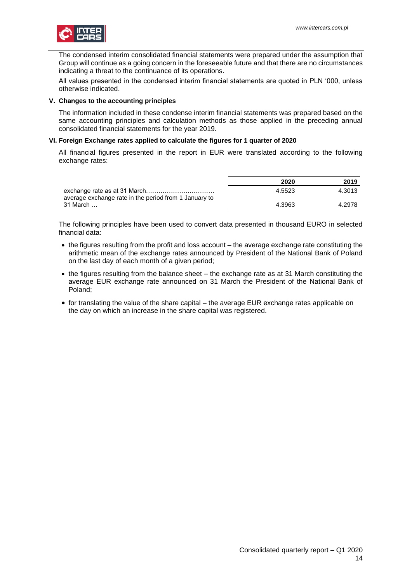

The condensed interim consolidated financial statements were prepared under the assumption that Group will continue as a going concern in the foreseeable future and that there are no circumstances indicating a threat to the continuance of its operations.

All values presented in the condensed interim financial statements are quoted in PLN '000, unless otherwise indicated.

### <span id="page-13-0"></span>**V. Changes to the accounting principles**

The information included in these condense interim financial statements was prepared based on the same accounting principles and calculation methods as those applied in the preceding annual consolidated financial statements for the year 2019.

### <span id="page-13-1"></span>**VI. Foreign Exchange rates applied to calculate the figures for 1 quarter of 2020**

All financial figures presented in the report in EUR were translated according to the following exchange rates:

|                                                       | 2020   | 2019   |
|-------------------------------------------------------|--------|--------|
| average exchange rate in the period from 1 January to | 4.5523 | 4.3013 |
| 31 March                                              | 4.3963 | 4.2978 |

The following principles have been used to convert data presented in thousand EURO in selected financial data:

- the figures resulting from the profit and loss account the average exchange rate constituting the arithmetic mean of the exchange rates announced by President of the National Bank of Poland on the last day of each month of a given period;
- the figures resulting from the balance sheet the exchange rate as at 31 March constituting the average EUR exchange rate announced on 31 March the President of the National Bank of Poland;
- for translating the value of the share capital the average EUR exchange rates applicable on the day on which an increase in the share capital was registered.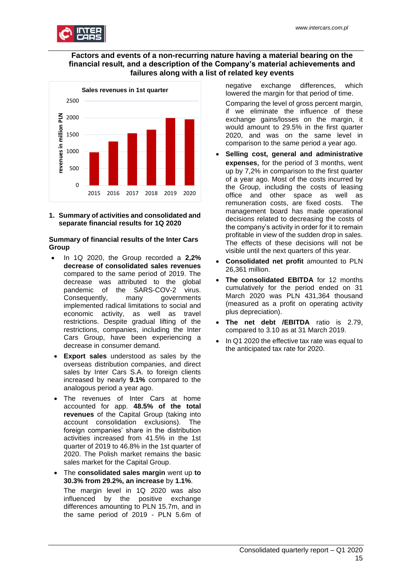

## **Factors and events of a non-recurring nature having a material bearing on the financial result, and a description of the Company's material achievements and failures along with a list of related key events**



<span id="page-14-0"></span>**1. Summary of activities and consolidated and separate financial results for 1Q 2020**

### **Summary of financial results of the Inter Cars Group**

- In 1Q 2020, the Group recorded a **2,2% decrease of consolidated sales revenues**  compared to the same period of 2019. The decrease was attributed to the global pandemic of the SARS-COV-2 virus. Consequently, many governments implemented radical limitations to social and economic activity, as well as travel restrictions. Despite gradual lifting of the restrictions, companies, including the Inter Cars Group, have been experiencing a decrease in consumer demand.
- **Export sales** understood as sales by the overseas distribution companies, and direct sales by Inter Cars S.A. to foreign clients increased by nearly **9.1%** compared to the analogous period a year ago.
- The revenues of Inter Cars at home accounted for app. **48.5% of the total revenues** of the Capital Group (taking into account consolidation exclusions). The foreign companies' share in the distribution activities increased from 41.5% in the 1st quarter of 2019 to 46.8% in the 1st quarter of 2020. The Polish market remains the basic sales market for the Capital Group.
- The **consolidated sales margin** went up **to 30.3% from 29.2%, an increase** by **1.1%**. The margin level in 1Q 2020 was also influenced by the positive exchange differences amounting to PLN 15.7m, and in the same period of 2019 - PLN 5.6m of

negative exchange differences, which lowered the margin for that period of time.

Comparing the level of gross percent margin, if we eliminate the influence of these exchange gains/losses on the margin, it would amount to 29.5% in the first quarter 2020, and was on the same level in comparison to the same period a year ago.

- **Selling cost, general and administrative expenses**, for the period of 3 months, went up by 7,2% in comparison to the first quarter of a year ago. Most of the costs incurred by the Group, including the costs of leasing office and other space as well as remuneration costs, are fixed costs. The management board has made operational decisions related to decreasing the costs of the company's activity in order for it to remain profitable in view of the sudden drop in sales. The effects of these decisions will not be visible until the next quarters of this year.
- **Consolidated net profit** amounted to PLN 26,361 million.
- **The consolidated EBITDA** for 12 months cumulatively for the period ended on 31 March 2020 was PLN 431,364 thousand (measured as a profit on operating activity plus depreciation).
- **The net debt /EBITDA** ratio is 2.79, compared to 3.10 as at 31 March 2019.
- In Q1 2020 the effective tax rate was equal to the anticipated tax rate for 2020.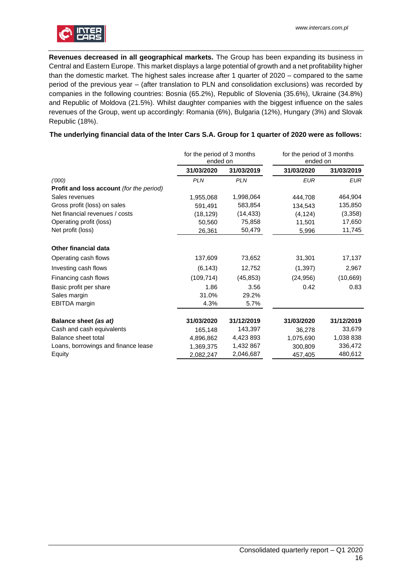

**Revenues decreased in all geographical markets.** The Group has been expanding its business in Central and Eastern Europe. This market displays a large potential of growth and a net profitability higher than the domestic market. The highest sales increase after 1 quarter of 2020 – compared to the same period of the previous year – (after translation to PLN and consolidation exclusions) was recorded by companies in the following countries: Bosnia (65.2%), Republic of Slovenia (35.6%), Ukraine (34.8%) and Republic of Moldova (21.5%). Whilst daughter companies with the biggest influence on the sales revenues of the Group, went up accordingly: Romania (6%), Bulgaria (12%), Hungary (3%) and Slovak Republic (18%).

## **The underlying financial data of the Inter Cars S.A. Group for 1 quarter of 2020 were as follows:**

|                                          | for the period of 3 months<br>ended on |            | for the period of 3 months<br>ended on |            |
|------------------------------------------|----------------------------------------|------------|----------------------------------------|------------|
|                                          | 31/03/2020                             | 31/03/2019 | 31/03/2020                             | 31/03/2019 |
| (1000)                                   | <b>PLN</b>                             | <b>PLN</b> | <b>EUR</b>                             | <b>EUR</b> |
| Profit and loss account (for the period) |                                        |            |                                        |            |
| Sales revenues                           | 1,955,068                              | 1,998,064  | 444.708                                | 464,904    |
| Gross profit (loss) on sales             | 591,491                                | 583,854    | 134,543                                | 135,850    |
| Net financial revenues / costs           | (18, 129)                              | (14, 433)  | (4, 124)                               | (3,358)    |
| Operating profit (loss)                  | 50,560                                 | 75,858     | 11,501                                 | 17,650     |
| Net profit (loss)                        | 26,361                                 | 50,479     | 5,996                                  | 11,745     |
| <b>Other financial data</b>              |                                        |            |                                        |            |
| Operating cash flows                     | 137,609                                | 73,652     | 31,301                                 | 17,137     |
| Investing cash flows                     | (6, 143)                               | 12,752     | (1, 397)                               | 2,967      |
| Financing cash flows                     | (109, 714)                             | (45, 853)  | (24, 956)                              | (10, 669)  |
| Basic profit per share                   | 1.86                                   | 3.56       | 0.42                                   | 0.83       |
| Sales margin                             | 31.0%                                  | 29.2%      |                                        |            |
| EBITDA margin                            | 4.3%                                   | 5.7%       |                                        |            |
| Balance sheet (as at)                    | 31/03/2020                             | 31/12/2019 | 31/03/2020                             | 31/12/2019 |
| Cash and cash equivalents                | 165,148                                | 143,397    | 36,278                                 | 33,679     |
| Balance sheet total                      | 4,896,862                              | 4,423 893  | 1,075,690                              | 1,038 838  |
| Loans, borrowings and finance lease      | 1,369,375                              | 1,432 867  | 300,809                                | 336,472    |
| Equity                                   | 2,082,247                              | 2,046,687  | 457,405                                | 480,612    |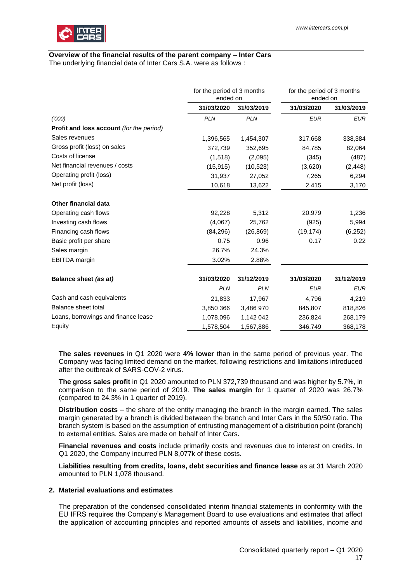

# **Overview of the financial results of the parent company – Inter Cars**

The underlying financial data of Inter Cars S.A. were as follows :

|                                                 | for the period of 3 months<br>ended on |            | for the period of 3 months<br>ended on |            |
|-------------------------------------------------|----------------------------------------|------------|----------------------------------------|------------|
|                                                 | 31/03/2020                             | 31/03/2019 | 31/03/2020                             | 31/03/2019 |
| (1000)                                          | <b>PLN</b>                             | <b>PLN</b> | <b>EUR</b>                             | <b>EUR</b> |
| <b>Profit and loss account (for the period)</b> |                                        |            |                                        |            |
| Sales revenues                                  | 1,396,565                              | 1,454,307  | 317,668                                | 338,384    |
| Gross profit (loss) on sales                    | 372,739                                | 352,695    | 84,785                                 | 82,064     |
| Costs of license                                | (1,518)                                | (2,095)    | (345)                                  | (487)      |
| Net financial revenues / costs                  | (15, 915)                              | (10, 523)  | (3,620)                                | (2, 448)   |
| Operating profit (loss)                         | 31,937                                 | 27,052     | 7,265                                  | 6,294      |
| Net profit (loss)                               | 10,618                                 | 13,622     | 2,415                                  | 3,170      |
| <b>Other financial data</b>                     |                                        |            |                                        |            |
| Operating cash flows                            | 92,228                                 | 5,312      | 20,979                                 | 1,236      |
| Investing cash flows                            | (4,067)                                | 25,762     | (925)                                  | 5,994      |
| Financing cash flows                            | (84, 296)                              | (26, 869)  | (19, 174)                              | (6, 252)   |
| Basic profit per share                          | 0.75                                   | 0.96       | 0.17                                   | 0.22       |
| Sales margin                                    | 26.7%                                  | 24.3%      |                                        |            |
| EBITDA margin                                   | 3.02%                                  | 2.88%      |                                        |            |
| Balance sheet (as at)                           | 31/03/2020                             | 31/12/2019 | 31/03/2020                             | 31/12/2019 |
|                                                 | <b>PLN</b>                             | <b>PLN</b> | <b>EUR</b>                             | <b>EUR</b> |
| Cash and cash equivalents                       | 21,833                                 | 17,967     | 4,796                                  | 4,219      |
| Balance sheet total                             | 3,850 366                              | 3,486 970  | 845,807                                | 818,826    |
| Loans, borrowings and finance lease             | 1,078,096                              | 1,142 042  | 236,824                                | 268,179    |
| Equity                                          | 1,578,504                              | 1,567,886  | 346,749                                | 368,178    |

**The sales revenues** in Q1 2020 were **4% lower** than in the same period of previous year. The Company was facing limited demand on the market, following restrictions and limitations introduced after the outbreak of SARS-COV-2 virus.

**The gross sales profit** in Q1 2020 amounted to PLN 372,739 thousand and was higher by 5.7%, in comparison to the same period of 2019. **The sales margin** for 1 quarter of 2020 was 26.7% (compared to 24.3% in 1 quarter of 2019).

**Distribution costs** – the share of the entity managing the branch in the margin earned. The sales margin generated by a branch is divided between the branch and Inter Cars in the 50/50 ratio. The branch system is based on the assumption of entrusting management of a distribution point (branch) to external entities. Sales are made on behalf of Inter Cars.

**Financial revenues and costs** include primarily costs and revenues due to interest on credits. In Q1 2020, the Company incurred PLN 8,077k of these costs.

**Liabilities resulting from credits, loans, debt securities and finance lease** as at 31 March 2020 amounted to PLN 1,078 thousand.

### <span id="page-16-0"></span>**2. Material evaluations and estimates**

The preparation of the condensed consolidated interim financial statements in conformity with the EU IFRS requires the Company's Management Board to use evaluations and estimates that affect the application of accounting principles and reported amounts of assets and liabilities, income and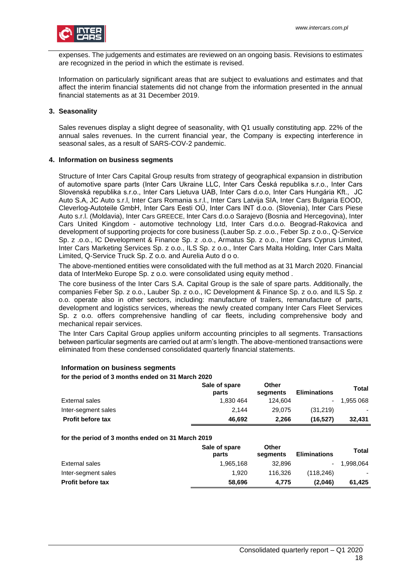expenses. The judgements and estimates are reviewed on an ongoing basis. Revisions to estimates are recognized in the period in which the estimate is revised.

Information on particularly significant areas that are subject to evaluations and estimates and that affect the interim financial statements did not change from the information presented in the annual financial statements as at 31 December 2019.

### <span id="page-17-0"></span>**3. Seasonality**

Sales revenues display a slight degree of seasonality, with Q1 usually constituting app. 22% of the annual sales revenues. In the current financial year, the Company is expecting interference in seasonal sales, as a result of SARS-COV-2 pandemic.

### <span id="page-17-1"></span>**4. Information on business segments**

Structure of Inter Cars Capital Group results from strategy of geographical expansion in distribution of automotive spare parts (Inter Cars Ukraine LLC, Inter Cars Česká republika s.r.o., Inter Cars Slovenská republika s.r.o., Inter Cars Lietuva UAB, Inter Cars d.o.o, Inter Cars Hungária Kft., JC Auto S.A, JC Auto s.r.l, Inter Cars Romania s.r.l., Inter Cars Latvija SIA, Inter Cars Bulgaria EOOD, Cleverlog-Autoteile GmbH, Inter Cars Eesti OÜ, Inter Cars INT d.o.o. (Slovenia), Inter Cars Piese Auto s.r.l. (Moldavia), Inter Cars GREECE, Inter Cars d.o.o Sarajevo (Bosnia and Hercegovina), Inter Cars United Kingdom - automotive technology Ltd, Inter Cars d.o.o. Beograd-Rakovica and development of supporting projects for core business (Lauber Sp. z .o.o., Feber Sp. z o.o., Q-Service Sp. z .o.o., IC Development & Finance Sp. z .o.o., Armatus Sp. z o.o., Inter Cars Cyprus Limited, Inter Cars Marketing Services Sp. z o.o., ILS Sp. z o.o., Inter Cars Malta Holding, Inter Cars Malta Limited, Q-Service Truck Sp. Z o.o. and Aurelia Auto d o o.

The above-mentioned entities were consolidated with the full method as at 31 March 2020. Financial data of InterMeko Europe Sp. z o.o. were consolidated using equity method .

The core business of the Inter Cars S.A. Capital Group is the sale of spare parts. Additionally, the companies Feber Sp. z o.o., Lauber Sp. z o.o., IC Development & Finance Sp. z o.o. and ILS Sp. z o.o. operate also in other sectors, including: manufacture of trailers, remanufacture of parts, development and logistics services, whereas the newly created company Inter Cars Fleet Services Sp. z o.o. offers comprehensive handling of car fleets, including comprehensive body and mechanical repair services.

The Inter Cars Capital Group applies uniform accounting principles to all segments. Transactions between particular segments are carried out at arm's length. The above-mentioned transactions were eliminated from these condensed consolidated quarterly financial statements.

#### **for the period of 3 months ended on 31 March 2020 Sale of spare parts Other segments Eliminations Total**  External sales 1,830 464 124,604 - 1,955 068 Inter-segment sales 2,144 29,075 (31,219) **Profit before tax 46,692 2,266 (16,527) 32,431**

## **Information on business segments**

### **for the period of 3 months ended on 31 March 2019**

|                          | Sale of spare<br>parts | Other<br>seaments | <b>Eliminations</b> | Total     |
|--------------------------|------------------------|-------------------|---------------------|-----------|
| External sales           | 1.965.168              | 32,896            |                     | 1.998.064 |
| Inter-segment sales      | 1.920                  | 116.326           | (118.246)           |           |
| <b>Profit before tax</b> | 58,696                 | 4.775             | (2.046)             | 61.425    |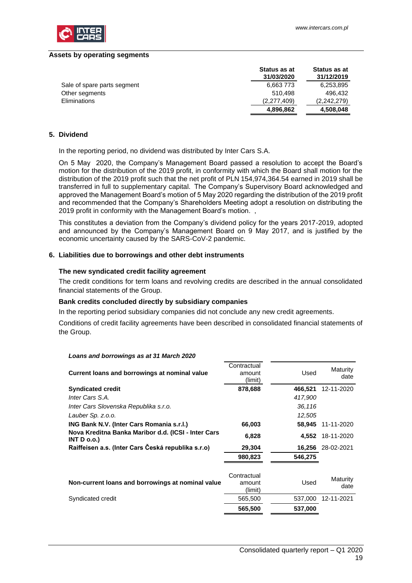

#### **Assets by operating segments**

|                             | Status as at<br>31/03/2020 | <b>Status as at</b><br>31/12/2019 |
|-----------------------------|----------------------------|-----------------------------------|
| Sale of spare parts segment | 6,663773                   | 6,253,895                         |
| Other segments              | 510.498                    | 496.432                           |
| Eliminations                | (2,277,409)                | (2.242.279)                       |
|                             | 4,896,862                  | 4,508,048                         |

### <span id="page-18-0"></span>**5. Dividend**

In the reporting period, no dividend was distributed by Inter Cars S.A.

On 5 May 2020, the Company's Management Board passed a resolution to accept the Board's motion for the distribution of the 2019 profit, in conformity with which the Board shall motion for the distribution of the 2019 profit such that the net profit of PLN 154,974,364.54 earned in 2019 shall be transferred in full to supplementary capital. The Company's Supervisory Board acknowledged and approved the Management Board's motion of 5 May 2020 regarding the distribution of the 2019 profit and recommended that the Company's Shareholders Meeting adopt a resolution on distributing the 2019 profit in conformity with the Management Board's motion. ,

This constitutes a deviation from the Company's dividend policy for the years 2017-2019, adopted and announced by the Company's Management Board on 9 May 2017, and is justified by the economic uncertainty caused by the SARS-CoV-2 pandemic.

### <span id="page-18-1"></span>**6. Liabilities due to borrowings and other debt instruments**

#### **The new syndicated credit facility agreement**

The credit conditions for term loans and revolving credits are described in the annual consolidated financial statements of the Group.

### **Bank credits concluded directly by subsidiary companies**

In the reporting period subsidiary companies did not conclude any new credit agreements.

Conditions of credit facility agreements have been described in consolidated financial statements of the Group.

#### *Loans and borrowings as at 31 March 2020*

| Current loans and borrowings at nominal value                     | Contractual<br>amount<br>(limit) | Used    | Maturity<br>date  |
|-------------------------------------------------------------------|----------------------------------|---------|-------------------|
| <b>Syndicated credit</b>                                          | 878,688                          | 466,521 | 12-11-2020        |
| Inter Cars S.A.                                                   |                                  | 417,900 |                   |
| Inter Cars Slovenska Republika s.r.o.                             |                                  | 36,116  |                   |
| Lauber Sp. z.o.o.                                                 |                                  | 12,505  |                   |
| ING Bank N.V. (Inter Cars Romania s.r.l.)                         | 66,003                           | 58,945  | 11-11-2020        |
| Nova Kreditna Banka Maribor d.d. (ICSI - Inter Cars<br>INT D 0.0. | 6,828                            |         | 4,552 18-11-2020  |
| Raiffeisen a.s. (Inter Cars Česká republika s.r.o)                | 29,304                           |         | 16,256 28-02-2021 |
|                                                                   | 980,823                          | 546,275 |                   |
| Non-current loans and borrowings at nominal value                 | Contractual<br>amount<br>(limit) | Used    | Maturity<br>date  |
| Syndicated credit                                                 | 565,500                          | 537,000 | 12-11-2021        |
|                                                                   | 565,500                          | 537,000 |                   |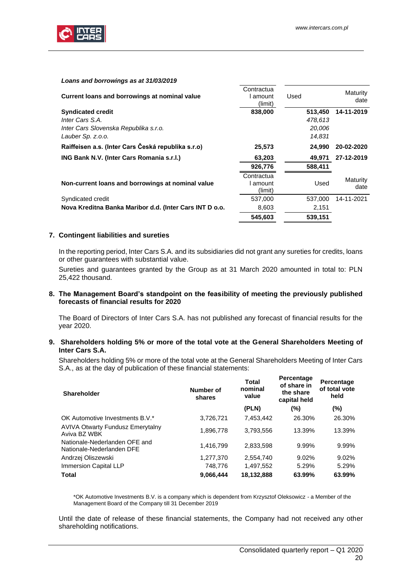

### *Loans and borrowings as at 31/03/2019*

| Current loans and borrowings at nominal value           | Contractua<br>amount<br>(limit) | Used    | Maturity<br>date |
|---------------------------------------------------------|---------------------------------|---------|------------------|
| <b>Syndicated credit</b>                                | 838,000                         | 513,450 | 14-11-2019       |
| Inter Cars S.A.                                         |                                 | 478,613 |                  |
| Inter Cars Slovenska Republika s.r.o.                   |                                 | 20,006  |                  |
| Lauber Sp. z.o.o.                                       |                                 | 14,831  |                  |
| Raiffeisen a.s. (Inter Cars Česká republika s.r.o)      | 25,573                          | 24.990  | 20-02-2020       |
| ING Bank N.V. (Inter Cars Romania s.r.l.)               | 63,203                          | 49,971  | 27-12-2019       |
|                                                         | 926,776                         | 588,411 |                  |
| Non-current loans and borrowings at nominal value       | Contractua<br>amount<br>(limit) | Used    | Maturity<br>date |
| Syndicated credit                                       | 537,000                         | 537.000 | 14-11-2021       |
| Nova Kreditna Banka Maribor d.d. (Inter Cars INT D o.o. | 8,603                           | 2,151   |                  |
|                                                         | 545,603                         | 539,151 |                  |

### <span id="page-19-0"></span>**7. Contingent liabilities and sureties**

In the reporting period, Inter Cars S.A. and its subsidiaries did not grant any sureties for credits, loans or other guarantees with substantial value.

Sureties and guarantees granted by the Group as at 31 March 2020 amounted in total to: PLN 25,422 thousand.

### <span id="page-19-1"></span>**8. The Management Board's standpoint on the feasibility of meeting the previously published forecasts of financial results for 2020**

The Board of Directors of Inter Cars S.A. has not published any forecast of financial results for the year 2020.

### <span id="page-19-2"></span>**9. Shareholders holding 5% or more of the total vote at the General Shareholders Meeting of Inter Cars S.A.**

Shareholders holding 5% or more of the total vote at the General Shareholders Meeting of Inter Cars S.A., as at the day of publication of these financial statements:

| <b>Shareholder</b>                                         | Number of<br>shares | <b>Total</b><br>nominal<br>value | Percentage<br>of share in<br>the share<br>capital held | Percentage<br>of total vote<br>held |  |
|------------------------------------------------------------|---------------------|----------------------------------|--------------------------------------------------------|-------------------------------------|--|
|                                                            |                     | (PLN)                            | (%)                                                    | $(\% )$                             |  |
| OK Automotive Investments B.V.*                            | 3,726,721           | 7.453.442                        | 26.30%                                                 | 26.30%                              |  |
| <b>AVIVA Otwarty Fundusz Emerytalny</b><br>Aviva BZ WBK    | 1,896,778           | 3.793.556                        | 13.39%                                                 | 13.39%                              |  |
| Nationale-Nederlanden OFE and<br>Nationale-Nederlanden DFE | 1,416,799           | 2,833,598                        | 9.99%                                                  | 9.99%                               |  |
| Andrzej Oliszewski                                         | 1,277,370           | 2,554,740                        | 9.02%                                                  | 9.02%                               |  |
| Immersion Capital LLP                                      | 748,776             | 1,497,552                        | 5.29%                                                  | 5.29%                               |  |
| Total                                                      | 9,066,444           | 18,132,888                       | 63.99%                                                 | 63.99%                              |  |

\*OK Automotive Investments B.V. is a company which is dependent from Krzysztof Oleksowicz - a Member of the Management Board of the Company till 31 December 2019

Until the date of release of these financial statements, the Company had not received any other shareholding notifications.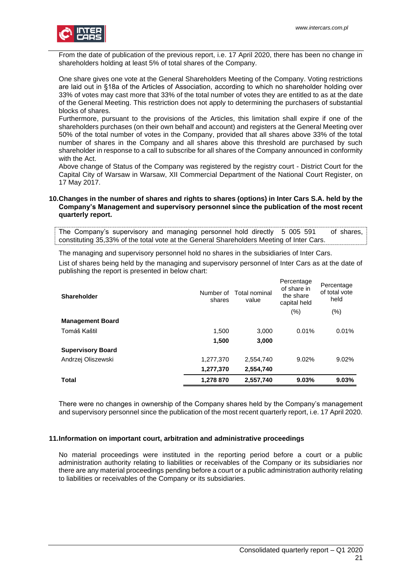

From the date of publication of the previous report, i.e. 17 April 2020, there has been no change in shareholders holding at least 5% of total shares of the Company.

One share gives one vote at the General Shareholders Meeting of the Company. Voting restrictions are laid out in §18a of the Articles of Association, according to which no shareholder holding over 33% of votes may cast more that 33% of the total number of votes they are entitled to as at the date of the General Meeting. This restriction does not apply to determining the purchasers of substantial blocks of shares.

Furthermore, pursuant to the provisions of the Articles, this limitation shall expire if one of the shareholders purchases (on their own behalf and account) and registers at the General Meeting over 50% of the total number of votes in the Company, provided that all shares above 33% of the total number of shares in the Company and all shares above this threshold are purchased by such shareholder in response to a call to subscribe for all shares of the Company announced in conformity with the Act.

Above change of Status of the Company was registered by the registry court - District Court for the Capital City of Warsaw in Warsaw, XII Commercial Department of the National Court Register, on 17 May 2017.

### <span id="page-20-0"></span>**10.Changes in the number of shares and rights to shares (options) in Inter Cars S.A. held by the Company's Management and supervisory personnel since the publication of the most recent quarterly report.**

The Company's supervisory and managing personnel hold directly 5 005 591 of shares, constituting 35,33% of the total vote at the General Shareholders Meeting of Inter Cars.

The managing and supervisory personnel hold no shares in the subsidiaries of Inter Cars.

List of shares being held by the managing and supervisory personnel of Inter Cars as at the date of publishing the report is presented in below chart:

| <b>Shareholder</b>       | Number of<br>shares | Total nominal<br>value | Percentage<br>of share in<br>the share<br>capital held<br>(% ) | Percentage<br>of total vote<br>held<br>(%) |
|--------------------------|---------------------|------------------------|----------------------------------------------------------------|--------------------------------------------|
| <b>Management Board</b>  |                     |                        |                                                                |                                            |
| Tomáš Kaštil             | 1,500               | 3,000                  | 0.01%                                                          | 0.01%                                      |
|                          | 1,500               | 3,000                  |                                                                |                                            |
| <b>Supervisory Board</b> |                     |                        |                                                                |                                            |
| Andrzej Oliszewski       | 1,277,370           | 2,554,740              | 9.02%                                                          | 9.02%                                      |
|                          | 1,277,370           | 2,554,740              |                                                                |                                            |
| <b>Total</b>             | 1,278 870           | 2,557,740              | 9.03%                                                          | 9.03%                                      |

There were no changes in ownership of the Company shares held by the Company's management and supervisory personnel since the publication of the most recent quarterly report, i.e. 17 April 2020.

### <span id="page-20-1"></span>**11.Information on important court, arbitration and administrative proceedings**

No material proceedings were instituted in the reporting period before a court or a public administration authority relating to liabilities or receivables of the Company or its subsidiaries nor there are any material proceedings pending before a court or a public administration authority relating to liabilities or receivables of the Company or its subsidiaries.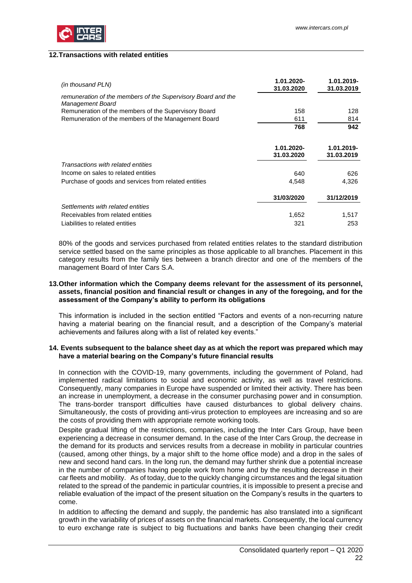

### <span id="page-21-0"></span>**12.Transactions with related entities**

| (in thousand PLN)                                                                | 1.01.2020-<br>31.03.2020 | 1.01.2019-<br>31.03.2019 |
|----------------------------------------------------------------------------------|--------------------------|--------------------------|
| remuneration of the members of the Supervisory Board and the<br>Management Board |                          |                          |
| Remuneration of the members of the Supervisory Board                             | 158                      | 128                      |
| Remuneration of the members of the Management Board                              | 611                      | 814                      |
|                                                                                  | 768                      | 942                      |
|                                                                                  |                          |                          |
|                                                                                  | 1.01.2020-               | 1.01.2019-               |
|                                                                                  | 31.03.2020               | 31.03.2019               |
| Transactions with related entities                                               |                          |                          |
| Income on sales to related entities                                              | 640                      | 626                      |
| Purchase of goods and services from related entities                             | 4,548                    | 4,326                    |
|                                                                                  | 31/03/2020               | 31/12/2019               |
| Settlements with related entities                                                |                          |                          |
| Receivables from related entities                                                | 1,652                    | 1,517                    |
| Liabilities to related entities                                                  | 321                      | 253                      |

80% of the goods and services purchased from related entities relates to the standard distribution service settled based on the same principles as those applicable to all branches. Placement in this category results from the family ties between a branch director and one of the members of the management Board of Inter Cars S.A.

### <span id="page-21-1"></span>**13.Other information which the Company deems relevant for the assessment of its personnel, assets, financial position and financial result or changes in any of the foregoing, and for the assessment of the Company's ability to perform its obligations**

This information is included in the section entitled "Factors and events of a non-recurring nature having a material bearing on the financial result, and a description of the Company's material achievements and failures along with a list of related key events."

### <span id="page-21-2"></span>**14. Events subsequent to the balance sheet day as at which the report was prepared which may have a material bearing on the Company's future financial results**

In connection with the COVID-19, many governments, including the government of Poland, had implemented radical limitations to social and economic activity, as well as travel restrictions. Consequently, many companies in Europe have suspended or limited their activity. There has been an increase in unemployment, a decrease in the consumer purchasing power and in consumption. The trans-border transport difficulties have caused disturbances to global delivery chains. Simultaneously, the costs of providing anti-virus protection to employees are increasing and so are the costs of providing them with appropriate remote working tools.

Despite gradual lifting of the restrictions, companies, including the Inter Cars Group, have been experiencing a decrease in consumer demand. In the case of the Inter Cars Group, the decrease in the demand for its products and services results from a decrease in mobility in particular countries (caused, among other things, by a major shift to the home office mode) and a drop in the sales of new and second hand cars. In the long run, the demand may further shrink due a potential increase in the number of companies having people work from home and by the resulting decrease in their car fleets and mobility. As of today, due to the quickly changing circumstances and the legal situation related to the spread of the pandemic in particular countries, it is impossible to present a precise and reliable evaluation of the impact of the present situation on the Company's results in the quarters to come.

In addition to affecting the demand and supply, the pandemic has also translated into a significant growth in the variability of prices of assets on the financial markets. Consequently, the local currency to euro exchange rate is subject to big fluctuations and banks have been changing their credit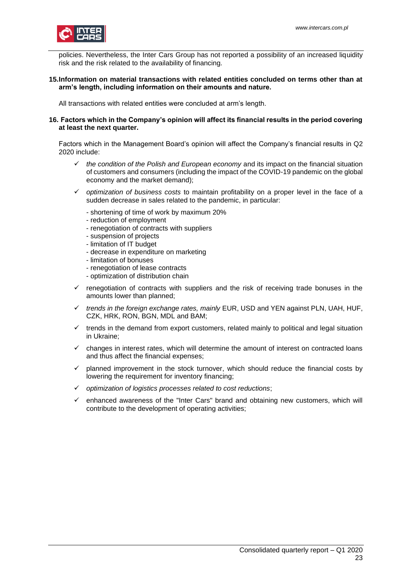

policies. Nevertheless, the Inter Cars Group has not reported a possibility of an increased liquidity risk and the risk related to the availability of financing.

### <span id="page-22-0"></span>**15.Information on material transactions with related entities concluded on terms other than at arm's length, including information on their amounts and nature.**

<span id="page-22-1"></span>All transactions with related entities were concluded at arm's length.

### **16. Factors which in the Company's opinion will affect its financial results in the period covering at least the next quarter.**

Factors which in the Management Board's opinion will affect the Company's financial results in Q2 2020 include:

- ✓ *the condition of the Polish and European economy* and its impact on the financial situation of customers and consumers (including the impact of the COVID-19 pandemic on the global economy and the market demand);
- ✓ *optimization of business costs* to maintain profitability on a proper level in the face of a sudden decrease in sales related to the pandemic, in particular:
	- *-* shortening of time of work by maximum 20%
	- reduction of employment
	- renegotiation of contracts with suppliers
	- suspension of projects
	- limitation of IT budget
	- decrease in expenditure on marketing
	- limitation of bonuses
	- renegotiation of lease contracts
	- optimization of distribution chain
- $\checkmark$  renegotiation of contracts with suppliers and the risk of receiving trade bonuses in the amounts lower than planned;
- ✓ *trends in the foreign exchange rates, mainly* EUR, USD and YEN against PLN, UAH, HUF, CZK, HRK, RON, BGN, MDL and BAM;
- $\checkmark$  trends in the demand from export customers, related mainly to political and legal situation in Ukraine;
- changes in interest rates, which will determine the amount of interest on contracted loans and thus affect the financial expenses;
- $\checkmark$  planned improvement in the stock turnover, which should reduce the financial costs by lowering the requirement for inventory financing;
- ✓ *optimization of logistics processes related to cost reductions*;
- enhanced awareness of the "Inter Cars" brand and obtaining new customers, which will contribute to the development of operating activities;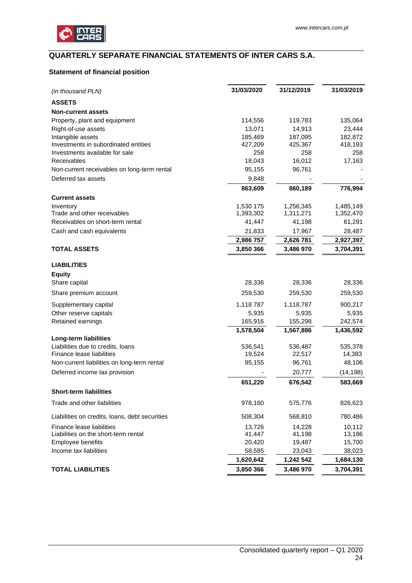

# <span id="page-23-0"></span>**QUARTERLY SEPARATE FINANCIAL STATEMENTS OF INTER CARS S.A.**

## <span id="page-23-1"></span>**Statement of financial position**

| (in thousand PLN)                              | 31/03/2020 | 31/12/2019 | 31/03/2019 |
|------------------------------------------------|------------|------------|------------|
| <b>ASSETS</b>                                  |            |            |            |
| <b>Non-current assets</b>                      |            |            |            |
| Property, plant and equipment                  | 114,556    | 119,783    | 135,064    |
| Right-of-use assets                            | 13,071     | 14,913     | 23,444     |
| Intangible assets                              | 185,469    | 187,095    | 182,872    |
| Investments in subordinated entities           | 427,209    | 425,367    | 418,193    |
| Investments available for sale                 | 258        | 258        | 258        |
| Receivables                                    | 18,043     | 16,012     | 17,163     |
| Non-current receivables on long-term rental    | 95,155     | 96,761     |            |
| Deferred tax assets                            | 9,848      |            |            |
|                                                | 863,609    | 860,189    | 776,994    |
| <b>Current assets</b>                          |            |            |            |
| Inventory                                      | 1,530 175  | 1,256,345  | 1,485,149  |
| Trade and other receivables                    | 1,393,302  | 1,311,271  | 1,352,470  |
| Receivables on short-term rental               | 41,447     | 41,198     | 61,291     |
| Cash and cash equivalents                      | 21,833     | 17,967     | 28,487     |
|                                                | 2,986 757  | 2,626 781  | 2,927,397  |
| <b>TOTAL ASSETS</b>                            | 3,850 366  | 3,486 970  | 3,704,391  |
| <b>LIABILITIES</b>                             |            |            |            |
| <b>Equity</b>                                  |            |            |            |
| Share capital                                  | 28,336     | 28,336     | 28,336     |
| Share premium account                          | 259,530    | 259,530    | 259,530    |
| Supplementary capital                          | 1,118 787  | 1,118,787  | 900,217    |
| Other reserve capitals                         | 5,935      | 5,935      | 5,935      |
| Retained earnings                              | 165,916    | 155,298    | 242,574    |
|                                                | 1,578,504  | 1,567,886  | 1,436,592  |
| Long-term liabilities                          |            |            |            |
| Liabilities due to credits, loans              | 536,541    | 536,487    | 535,378    |
| Finance lease liabilities                      | 19,524     | 22,517     | 14,383     |
| Non-current liabilities on long-term rental    | 95,155     | 96,761     | 48,106     |
| Deferred income tax provision                  |            | 20,777     | (14, 198)  |
|                                                | 651,220    | 676,542    | 583,669    |
| <b>Short-term liabilities</b>                  |            |            |            |
| Trade and other liabilities                    | 978,160    | 575,776    | 826,623    |
| Liabilities on credits, loans, debt securities | 508,304    | 568,810    | 780,486    |
| Finance lease liabilities                      | 13,726     | 14,228     | 10,112     |
| Liabilities on the short-term rental           | 41,447     | 41,198     | 13,186     |
| Employee benefits                              | 20,420     | 19,487     | 15,700     |
| Income tax liabilities                         | 58,585     | 23,043     | 38,023     |
|                                                | 1,620,642  | 1,242 542  | 1,684,130  |
| <b>TOTAL LIABILITIES</b>                       | 3,850 366  | 3,486 970  | 3,704,391  |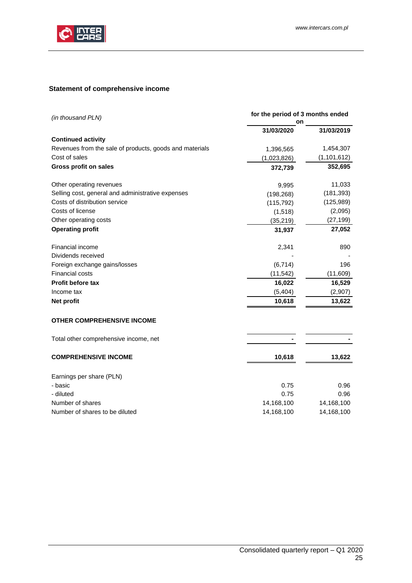

# <span id="page-24-0"></span>**Statement of comprehensive income**

| (in thousand PLN)                                       | for the period of 3 months ended |               |
|---------------------------------------------------------|----------------------------------|---------------|
|                                                         | 31/03/2020                       | 31/03/2019    |
| <b>Continued activity</b>                               |                                  |               |
| Revenues from the sale of products, goods and materials | 1,396,565                        | 1,454,307     |
| Cost of sales                                           | (1,023,826)                      | (1, 101, 612) |
| <b>Gross profit on sales</b>                            | 372,739                          | 352,695       |
| Other operating revenues                                | 9,995                            | 11,033        |
| Selling cost, general and administrative expenses       | (198, 268)                       | (181, 393)    |
| Costs of distribution service                           | (115, 792)                       | (125,989)     |
| Costs of license                                        | (1, 518)                         | (2,095)       |
| Other operating costs                                   | (35, 219)                        | (27, 199)     |
| <b>Operating profit</b>                                 | 31,937                           | 27,052        |
| Financial income                                        | 2,341                            | 890           |
| Dividends received                                      |                                  |               |
| Foreign exchange gains/losses                           | (6, 714)                         | 196           |
| <b>Financial costs</b>                                  | (11, 542)                        | (11,609)      |
| Profit before tax                                       | 16,022                           | 16,529        |
| Income tax                                              | (5, 404)                         | (2,907)       |
| Net profit                                              | 10,618                           | 13,622        |
| OTHER COMPREHENSIVE INCOME                              |                                  |               |
| Total other comprehensive income, net                   |                                  |               |
| <b>COMPREHENSIVE INCOME</b>                             | 10,618                           | 13,622        |
| Earnings per share (PLN)                                |                                  |               |
| - basic                                                 | 0.75                             | 0.96          |
| - diluted                                               | 0.75                             | 0.96          |
| Number of shares                                        | 14,168,100                       | 14,168,100    |
| Number of shares to be diluted                          | 14,168,100                       | 14,168,100    |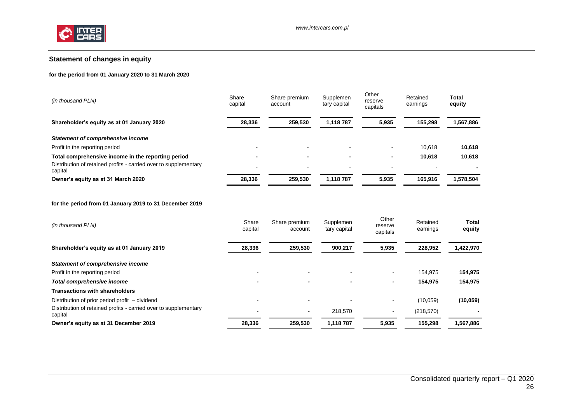

## **Statement of changes in equity**

#### **for the period from 01 January 2020 to 31 March 2020**

| Share<br>capital | Share premium<br>account | Supplemen<br>tary capital | Other<br>reserve<br>capitals | Retained<br>earnings | Total<br>equity |
|------------------|--------------------------|---------------------------|------------------------------|----------------------|-----------------|
| 28,336           | 259,530                  | 1,118 787                 | 5,935                        | 155,298              | 1,567,886       |
|                  |                          |                           |                              |                      |                 |
|                  | $\overline{\phantom{0}}$ |                           |                              | 10.618               | 10,618          |
|                  | $\overline{\phantom{0}}$ |                           |                              | 10.618               | 10,618          |
|                  | $\overline{\phantom{0}}$ |                           |                              |                      |                 |
| 28,336           | 259.530                  | 1.118 787                 | 5.935                        | 165.916              | 1,578,504       |
|                  |                          |                           |                              |                      |                 |

#### **for the period from 01 January 2019 to 31 December 2019**

<span id="page-25-0"></span>

| 259,530<br>5,935<br>Shareholder's equity as at 01 January 2019<br>28,336<br>228,952<br>900,217<br><b>Statement of comprehensive income</b><br>Profit in the reporting period<br>154.975<br>$\overline{\phantom{0}}$<br>154,975<br>Total comprehensive income<br>-<br>-<br><b>Transactions with shareholders</b><br>Distribution of prior period profit – dividend<br>(10,059)<br>$\overline{\phantom{a}}$<br>Distribution of retained profits - carried over to supplementary<br>218,570<br>(218, 570)<br>$\sim$<br>$\overline{\phantom{a}}$<br>capital<br>155,298<br>1,118 787<br>Owner's equity as at 31 December 2019<br>28,336<br>259,530<br>5,935 | (in thousand PLN) | Share<br>capital | Share premium<br>account | Supplemen<br>tary capital | Other<br>reserve<br>capitals | Retained<br>earnings | Total<br>equity |
|--------------------------------------------------------------------------------------------------------------------------------------------------------------------------------------------------------------------------------------------------------------------------------------------------------------------------------------------------------------------------------------------------------------------------------------------------------------------------------------------------------------------------------------------------------------------------------------------------------------------------------------------------------|-------------------|------------------|--------------------------|---------------------------|------------------------------|----------------------|-----------------|
|                                                                                                                                                                                                                                                                                                                                                                                                                                                                                                                                                                                                                                                        |                   |                  |                          |                           |                              |                      | 1,422,970       |
|                                                                                                                                                                                                                                                                                                                                                                                                                                                                                                                                                                                                                                                        |                   |                  |                          |                           |                              |                      |                 |
|                                                                                                                                                                                                                                                                                                                                                                                                                                                                                                                                                                                                                                                        |                   |                  |                          |                           |                              |                      | 154,975         |
|                                                                                                                                                                                                                                                                                                                                                                                                                                                                                                                                                                                                                                                        |                   |                  |                          |                           |                              |                      | 154,975         |
|                                                                                                                                                                                                                                                                                                                                                                                                                                                                                                                                                                                                                                                        |                   |                  |                          |                           |                              |                      |                 |
|                                                                                                                                                                                                                                                                                                                                                                                                                                                                                                                                                                                                                                                        |                   |                  |                          |                           |                              |                      | (10, 059)       |
|                                                                                                                                                                                                                                                                                                                                                                                                                                                                                                                                                                                                                                                        |                   |                  |                          |                           |                              |                      |                 |
|                                                                                                                                                                                                                                                                                                                                                                                                                                                                                                                                                                                                                                                        |                   |                  |                          |                           |                              |                      | 1,567,886       |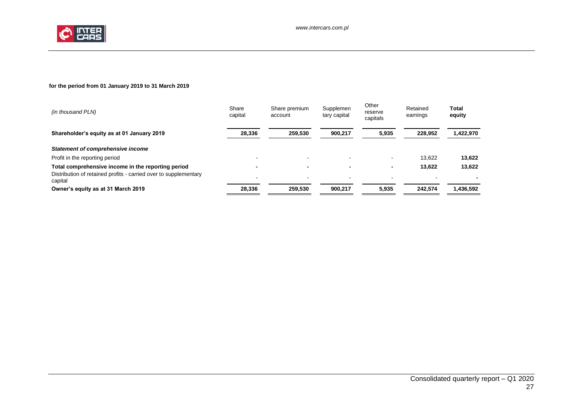

### **for the period from 01 January 2019 to 31 March 2019**

| (in thousand PLN)                                                           | Share<br>capital | Share premium<br>account | Supplemen<br>tary capital | Other<br>reserve<br>capitals | Retained<br>earnings | Total<br>equity |
|-----------------------------------------------------------------------------|------------------|--------------------------|---------------------------|------------------------------|----------------------|-----------------|
| Shareholder's equity as at 01 January 2019                                  | 28,336           | 259.530                  | 900,217                   | 5,935                        | 228,952              | 1,422,970       |
| Statement of comprehensive income                                           |                  |                          |                           |                              |                      |                 |
| Profit in the reporting period                                              |                  | $\overline{\phantom{a}}$ |                           |                              | 13.622               | 13,622          |
| Total comprehensive income in the reporting period                          |                  | $\overline{\phantom{a}}$ |                           |                              | 13.622               | 13,622          |
| Distribution of retained profits - carried over to supplementary<br>capital |                  | $\overline{\phantom{0}}$ |                           |                              |                      |                 |
| Owner's equity as at 31 March 2019                                          | 28.336           | 259.530                  | 900.217                   | 5.935                        | 242.574              | 1,436,592       |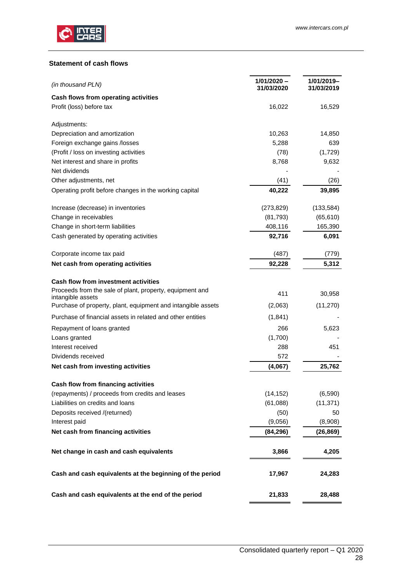

### <span id="page-27-0"></span>**Statement of cash flows**

| (in thousand PLN)                                                                 | $1/01/2020 -$<br>31/03/2020 | 1/01/2019-<br>31/03/2019 |
|-----------------------------------------------------------------------------------|-----------------------------|--------------------------|
| Cash flows from operating activities                                              |                             |                          |
| Profit (loss) before tax                                                          | 16,022                      | 16,529                   |
| Adjustments:                                                                      |                             |                          |
| Depreciation and amortization                                                     | 10,263                      | 14,850                   |
| Foreign exchange gains /losses                                                    | 5,288                       | 639                      |
| (Profit / loss on investing activities                                            | (78)                        | (1,729)                  |
| Net interest and share in profits                                                 | 8,768                       | 9,632                    |
| Net dividends                                                                     |                             |                          |
| Other adjustments, net                                                            | (41)                        | (26)                     |
| Operating profit before changes in the working capital                            | 40,222                      | 39,895                   |
| Increase (decrease) in inventories                                                | (273, 829)                  | (133, 584)               |
| Change in receivables                                                             | (81, 793)                   | (65, 610)                |
| Change in short-term liabilities                                                  | 408,116                     | 165,390                  |
| Cash generated by operating activities                                            | 92,716                      | 6,091                    |
| Corporate income tax paid                                                         | (487)                       | (779)                    |
| Net cash from operating activities                                                | 92,228                      | 5,312                    |
| <b>Cash flow from investment activities</b>                                       |                             |                          |
| Proceeds from the sale of plant, property, equipment and                          | 411                         | 30,958                   |
| intangible assets<br>Purchase of property, plant, equipment and intangible assets | (2,063)                     | (11, 270)                |
| Purchase of financial assets in related and other entities                        | (1,841)                     |                          |
| Repayment of loans granted                                                        | 266                         | 5,623                    |
| Loans granted                                                                     | (1,700)                     |                          |
| Interest received                                                                 | 288                         | 451                      |
| Dividends received                                                                | 572                         |                          |
| Net cash from investing activities                                                | (4,067)                     | 25,762                   |
| Cash flow from financing activities                                               |                             |                          |
| (repayments) / proceeds from credits and leases                                   | (14, 152)                   | (6,590)                  |
| Liabilities on credits and loans                                                  | (61,088)                    | (11, 371)                |
| Deposits received /(returned)                                                     | (50)                        | 50                       |
| Interest paid                                                                     | (9,056)                     | (8,908)                  |
| Net cash from financing activities                                                | (84, 296)                   | (26, 869)                |
| Net change in cash and cash equivalents                                           | 3,866                       | 4,205                    |
| Cash and cash equivalents at the beginning of the period                          | 17,967                      | 24,283                   |
| Cash and cash equivalents at the end of the period                                | 21,833                      | 28,488                   |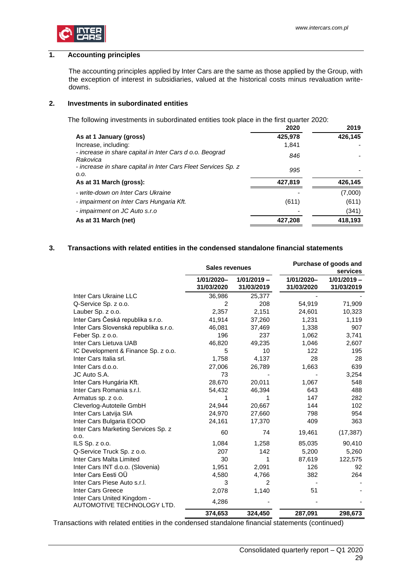

### <span id="page-28-0"></span>**1. Accounting principles**

The accounting principles applied by Inter Cars are the same as those applied by the Group, with the exception of interest in subsidiaries, valued at the historical costs minus revaluation writedowns.

### <span id="page-28-1"></span>**2. Investments in subordinated entities**

The following investments in subordinated entities took place in the first quarter 2020:

|                                                                        | 2020    | 2019    |
|------------------------------------------------------------------------|---------|---------|
| As at 1 January (gross)                                                | 425,978 | 426,145 |
| Increase, including:                                                   | 1.841   |         |
| - increase in share capital in Inter Cars d o.o. Beograd<br>Rakovica   | 846     |         |
| - increase in share capital in Inter Cars Fleet Services Sp. z<br>0.0. | 995     |         |
| As at 31 March (gross):                                                | 427,819 | 426,145 |
| - write-down on Inter Cars Ukraine                                     |         | (7,000) |
| - impairment on Inter Cars Hungaria Kft.                               | (611)   | (611)   |
| - impairment on JC Auto s.r.o                                          |         | (341)   |
| As at 31 March (net)                                                   | 427.208 | 418.193 |

### <span id="page-28-2"></span>**3. Transactions with related entities in the condensed standalone financial statements**

|                                                           | <b>Sales revenues</b>    |                             | Purchase of goods and<br>services |                             |  |  |
|-----------------------------------------------------------|--------------------------|-----------------------------|-----------------------------------|-----------------------------|--|--|
|                                                           | 1/01/2020-<br>31/03/2020 | $1/01/2019 -$<br>31/03/2019 | 1/01/2020-<br>31/03/2020          | $1/01/2019 -$<br>31/03/2019 |  |  |
| Inter Cars Ukraine LLC                                    | 36,986                   | 25,377                      |                                   |                             |  |  |
| Q-Service Sp. z o.o.                                      | $\overline{2}$           | 208                         | 54,919                            | 71,909                      |  |  |
| Lauber Sp. z o.o.                                         | 2,357                    | 2,151                       | 24,601                            | 10,323                      |  |  |
| Inter Cars Česká republika s.r.o.                         | 41,914                   | 37,260                      | 1,231                             | 1,119                       |  |  |
| Inter Cars Slovenská republika s.r.o.                     | 46,081                   | 37,469                      | 1,338                             | 907                         |  |  |
| Feber Sp. z o.o.                                          | 196                      | 237                         | 1,062                             | 3,741                       |  |  |
| Inter Cars Lietuva UAB                                    | 46,820                   | 49,235                      | 1,046                             | 2,607                       |  |  |
| IC Development & Finance Sp. z o.o.                       | 5                        | 10                          | 122                               | 195                         |  |  |
| Inter Cars Italia srl.                                    | 1,758                    | 4,137                       | 28                                | 28                          |  |  |
| Inter Cars d.o.o.                                         | 27,006                   | 26,789                      | 1,663                             | 639                         |  |  |
| JC Auto S.A.                                              | 73                       |                             |                                   | 3,254                       |  |  |
| Inter Cars Hungária Kft.                                  | 28,670                   | 20,011                      | 1,067                             | 548                         |  |  |
| Inter Cars Romania s.r.l.                                 | 54,432                   | 46,394                      | 643                               | 488                         |  |  |
| Armatus sp. z o.o.                                        | 1                        | 1                           | 147                               | 282                         |  |  |
| Cleverlog-Autoteile GmbH                                  | 24,944                   | 20,667                      | 144                               | 102                         |  |  |
| Inter Cars Latvija SIA                                    | 24,970                   | 27,660                      | 798                               | 954                         |  |  |
| Inter Cars Bulgaria EOOD                                  | 24,161                   | 17,370                      | 409                               | 363                         |  |  |
| Inter Cars Marketing Services Sp. z<br>0.0.               | 60                       | 74                          | 19,461                            | (17, 387)                   |  |  |
| ILS $Sp. z 0.0$ .                                         | 1,084                    | 1,258                       | 85,035                            | 90,410                      |  |  |
| Q-Service Truck Sp. z o.o.                                | 207                      | 142                         | 5,200                             | 5,260                       |  |  |
| Inter Cars Malta Limited                                  | 30                       | 1                           | 87,619                            | 122,575                     |  |  |
| Inter Cars INT d.o.o. (Slovenia)                          | 1,951                    | 2,091                       | 126                               | 92                          |  |  |
| Inter Cars Eesti OÜ                                       | 4,580                    | 4,766                       | 382                               | 264                         |  |  |
| Inter Cars Piese Auto s.r.l.                              | 3                        | $\overline{2}$              |                                   |                             |  |  |
| <b>Inter Cars Greece</b>                                  | 2,078                    | 1,140                       | 51                                |                             |  |  |
| Inter Cars United Kingdom -<br>AUTOMOTIVE TECHNOLOGY LTD. | 4,286                    |                             |                                   |                             |  |  |
|                                                           | 374,653                  | 324,450                     | 287,091                           | 298,673                     |  |  |

Transactions with related entities in the condensed standalone financial statements (continued)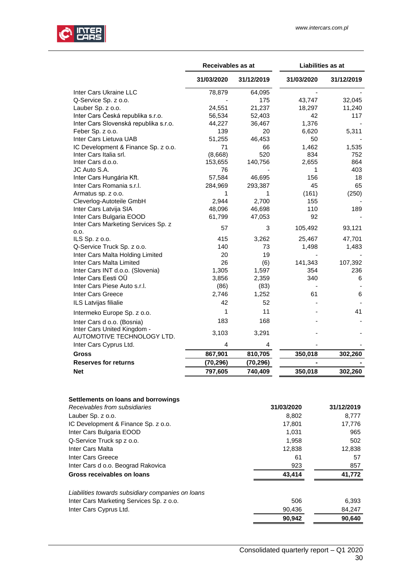

|                                                           | Receivables as at |            | Liabilities as at |            |
|-----------------------------------------------------------|-------------------|------------|-------------------|------------|
|                                                           | 31/03/2020        | 31/12/2019 | 31/03/2020        | 31/12/2019 |
| Inter Cars Ukraine LLC                                    | 78,879            | 64,095     | ٠                 |            |
| Q-Service Sp. z o.o.                                      |                   | 175        | 43,747            | 32,045     |
| Lauber Sp. z o.o.                                         | 24,551            | 21,237     | 18,297            | 11,240     |
| Inter Cars Česká republika s.r.o.                         | 56,534            | 52,403     | 42                | 117        |
| Inter Cars Slovenská republika s.r.o.                     | 44,227            | 36,467     | 1,376             |            |
| Feber Sp. z o.o.                                          | 139               | 20         | 6,620             | 5,311      |
| Inter Cars Lietuva UAB                                    | 51,255            | 46,453     | 50                |            |
| IC Development & Finance Sp. z o.o.                       | 71                | 66         | 1,462             | 1,535      |
| Inter Cars Italia srl.                                    | (8,668)           | 520        | 834               | 752        |
| Inter Cars d.o.o.                                         | 153,655           | 140,756    | 2,655             | 864        |
| JC Auto S.A.                                              | 76                |            | 1                 | 403        |
| Inter Cars Hungária Kft.                                  | 57,584            | 46,695     | 156               | 18         |
| Inter Cars Romania s.r.l.                                 | 284,969           | 293,387    | 45                | 65         |
| Armatus sp. z o.o.                                        | 1                 | 1          | (161)             | (250)      |
| Cleverlog-Autoteile GmbH                                  | 2,944             | 2,700      | 155               |            |
| Inter Cars Latvija SIA                                    | 48,096            | 46,698     | 110               | 189        |
| Inter Cars Bulgaria EOOD                                  | 61,799            | 47,053     | 92                |            |
| Inter Cars Marketing Services Sp. z                       | 57                | 3          | 105,492           | 93,121     |
| 0.0.                                                      |                   |            |                   |            |
| ILS Sp. z o.o.                                            | 415               | 3,262      | 25,467            | 47,701     |
| Q-Service Truck Sp. z o.o.                                | 140               | 73         | 1,498             | 1,483      |
| Inter Cars Malta Holding Limited                          | 20                | 19         |                   |            |
| Inter Cars Malta Limited                                  | 26                | (6)        | 141,343           | 107,392    |
| Inter Cars INT d.o.o. (Slovenia)                          | 1,305             | 1,597      | 354               | 236        |
| Inter Cars Eesti OÜ                                       | 3,856             | 2,359      | 340               | 6          |
| Inter Cars Piese Auto s.r.l.                              | (86)              | (83)       |                   |            |
| Inter Cars Greece                                         | 2,746             | 1,252      | 61                | 6          |
| <b>ILS Latvijas filialie</b>                              | 42                | 52         |                   |            |
| Intermeko Europe Sp. z o.o.                               | 1                 | 11         |                   | 41         |
| Inter Cars d o.o. (Bosnia)                                | 183               | 168        |                   |            |
| Inter Cars United Kingdom -<br>AUTOMOTIVE TECHNOLOGY LTD. | 3,103             | 3,291      |                   |            |
| Inter Cars Cyprus Ltd.                                    | 4                 | 4          |                   |            |
| Gross                                                     | 867,901           | 810,705    | 350,018           | 302,260    |
| <b>Reserves for returns</b>                               | (70, 296)         | (70, 296)  |                   |            |
| <b>Net</b>                                                | 797,605           | 740,409    | 350,018           | 302,260    |

| Settlements on loans and borrowings               |            |            |
|---------------------------------------------------|------------|------------|
| Receivables from subsidiaries                     | 31/03/2020 | 31/12/2019 |
| Lauber Sp. z o.o.                                 | 8,802      | 8,777      |
| IC Development & Finance Sp. z o.o.               | 17,801     | 17,776     |
| Inter Cars Bulgaria EOOD                          | 1,031      | 965        |
| Q-Service Truck sp z o.o.                         | 1,958      | 502        |
| Inter Cars Malta                                  | 12,838     | 12,838     |
| Inter Cars Greece                                 | 61         | 57         |
| Inter Cars d o.o. Beograd Rakovica                | 923        | 857        |
| Gross receivables on loans                        | 43,414     | 41,772     |
| Liabilities towards subsidiary companies on loans |            |            |
| Inter Cars Marketing Services Sp. z o.o.          | 506        | 6,393      |
| Inter Cars Cyprus Ltd.                            | 90.436     | 84,247     |
|                                                   | 90.942     | 90.640     |